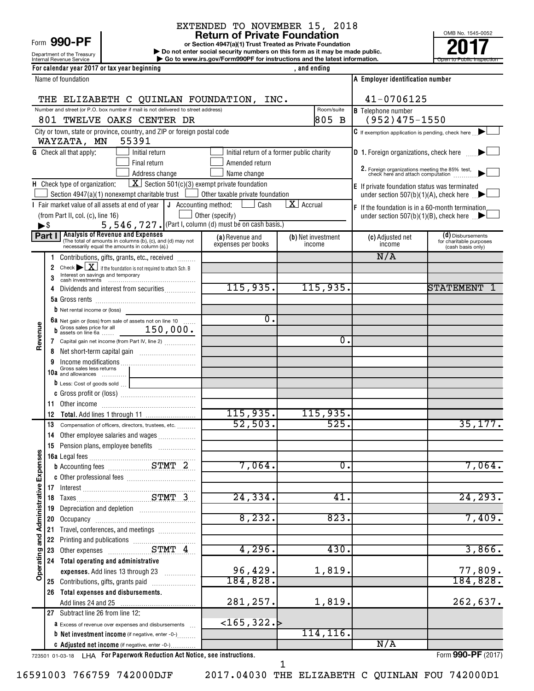# Department of the Treasury Form 990-PF

# EXTENDED TO NOVEMBER 15, 2018<br>Return of Private Foundation

**or Section 4947(a)(1) Trust Treated as Private Foundation | Do not enter social security numbers on this form as it may be made public. POO-PF**<br> **Return of Private Foundation**<br> **Pound the Treasury Private Foundation**<br> **Revenue Service**<br> **Pound terms and the latest information.**<br> **Revenue Service**<br> **Pound terms and the latest information.** 

Internal Revenue Service **Internal Revenue Service Concernation** Go to www.irs.gov/Form990PF for instructions and the latest information.

| OMB No. 1545-0052         |
|---------------------------|
|                           |
| Open to Public Inspection |

|                                      |                | For calendar year 2017 or tax year beginning                                                                                        |                                                             | , and ending                     |                                                                                  |                                              |
|--------------------------------------|----------------|-------------------------------------------------------------------------------------------------------------------------------------|-------------------------------------------------------------|----------------------------------|----------------------------------------------------------------------------------|----------------------------------------------|
|                                      |                | Name of foundation                                                                                                                  |                                                             |                                  | A Employer identification number                                                 |                                              |
|                                      |                | THE ELIZABETH C QUINLAN FOUNDATION, INC.                                                                                            | 41-0706125                                                  |                                  |                                                                                  |                                              |
|                                      |                | Number and street (or P.O. box number if mail is not delivered to street address)<br>801 TWELVE OAKS CENTER DR                      |                                                             | Room/suite<br>805<br>$\mathbf B$ | <b>B</b> Telephone number<br>$(952)475 - 1550$                                   |                                              |
|                                      |                | City or town, state or province, country, and ZIP or foreign postal code                                                            |                                                             |                                  | $\mathbf C$ If exemption application is pending, check here                      |                                              |
|                                      |                | WAYZATA, MN<br>55391                                                                                                                |                                                             |                                  |                                                                                  |                                              |
|                                      |                | <b>G</b> Check all that apply:<br>Initial return<br>Final return                                                                    | Initial return of a former public charity<br>Amended return |                                  | <b>D</b> 1. Foreign organizations, check here                                    |                                              |
|                                      |                | Address change                                                                                                                      | Name change                                                 |                                  | 2. Foreign organizations meeting the 85% test, check here and attach computation |                                              |
|                                      |                | $\boxed{\mathbf{X}}$ Section 501(c)(3) exempt private foundation<br>H Check type of organization:                                   |                                                             |                                  | E If private foundation status was terminated                                    |                                              |
|                                      |                | Section 4947(a)(1) nonexempt charitable trust                                                                                       | $\Box$ Other taxable private foundation                     |                                  | under section 507(b)(1)(A), check here $\Box$                                    |                                              |
|                                      |                | I Fair market value of all assets at end of year $\vert \mathsf{J} \vert$ Accounting method:                                        | Cash                                                        | $\boxed{\mathbf{X}}$ Accrual     | F If the foundation is in a 60-month termination                                 |                                              |
|                                      |                | (from Part II, col. (c), line 16)                                                                                                   | Other (specify)                                             |                                  | under section $507(b)(1)(B)$ , check here $\Box$                                 |                                              |
| $\blacktriangleright$ \$             | Part I         | 5, 546, 727. (Part I, column (d) must be on cash basis.)<br><b>Analysis of Revenue and Expenses</b>                                 |                                                             |                                  |                                                                                  | (d) Disbursements                            |
|                                      |                | (The total of amounts in columns (b), (c), and (d) may not<br>necessarily equal the amounts in column (a).)                         | (a) Revenue and<br>expenses per books                       | (b) Net investment<br>income     | (c) Adjusted net<br>income                                                       | for charitable purposes<br>(cash basis only) |
|                                      | $\mathbf{1}$   | Contributions, gifts, grants, etc., received                                                                                        |                                                             |                                  | N/A                                                                              |                                              |
|                                      | $\overline{2}$ | Check $\triangleright$ $\boxed{\mathbf{X}}$ if the foundation is not required to attach Sch. B<br>Interest on savings and temporary |                                                             |                                  |                                                                                  |                                              |
|                                      | 3              | Dividends and interest from securities                                                                                              | 115,935.                                                    | 115,935.                         |                                                                                  | STATEMENT                                    |
|                                      |                |                                                                                                                                     |                                                             |                                  |                                                                                  |                                              |
|                                      |                | $b$ Net rental income or (loss)                                                                                                     |                                                             |                                  |                                                                                  |                                              |
|                                      |                |                                                                                                                                     | 0.                                                          |                                  |                                                                                  |                                              |
| Revenue                              |                |                                                                                                                                     |                                                             |                                  |                                                                                  |                                              |
|                                      | 7              | Capital gain net income (from Part IV, line 2)                                                                                      |                                                             | $\mathfrak{o}$ .                 |                                                                                  |                                              |
|                                      | 8              |                                                                                                                                     |                                                             |                                  |                                                                                  |                                              |
|                                      | 9              | Gross sales less returns                                                                                                            |                                                             |                                  |                                                                                  |                                              |
|                                      |                | <b>10a</b> and allowances $\ldots$<br>D Less: Cost of goods sold                                                                    |                                                             |                                  |                                                                                  |                                              |
|                                      |                |                                                                                                                                     |                                                             |                                  |                                                                                  |                                              |
|                                      | 11             |                                                                                                                                     |                                                             |                                  |                                                                                  |                                              |
|                                      | 12             |                                                                                                                                     | 115,935.                                                    | 115,935.                         |                                                                                  |                                              |
|                                      | 13             | Compensation of officers, directors, trustees, etc.                                                                                 | 52,503.                                                     | 525.                             |                                                                                  | 35,177.                                      |
|                                      | 14             | Other employee salaries and wages                                                                                                   |                                                             |                                  |                                                                                  |                                              |
| w                                    |                | 15 Pension plans, employee benefits                                                                                                 |                                                             |                                  |                                                                                  |                                              |
|                                      |                | <b>b</b> Accounting fees <b>STMT</b> 2                                                                                              | 7,064.                                                      | σ.                               |                                                                                  | 7,064.                                       |
|                                      |                |                                                                                                                                     |                                                             |                                  |                                                                                  |                                              |
|                                      |                |                                                                                                                                     |                                                             |                                  |                                                                                  |                                              |
|                                      |                | 17 Interest<br>18 Taxes<br>STMT 3                                                                                                   | 24, 334.                                                    | 41.                              |                                                                                  | 24, 293.                                     |
|                                      | 19             |                                                                                                                                     |                                                             |                                  |                                                                                  |                                              |
|                                      | 20             |                                                                                                                                     | 8, 232.                                                     | 823.                             |                                                                                  | 7,409.                                       |
|                                      | 21<br>22       | Travel, conferences, and meetings                                                                                                   |                                                             |                                  |                                                                                  |                                              |
| Operating and Administrative Expense | 23             |                                                                                                                                     | 4,296.                                                      | 430.                             |                                                                                  | 3,866.                                       |
|                                      | 24             | Total operating and administrative                                                                                                  |                                                             |                                  |                                                                                  |                                              |
|                                      |                | expenses. Add lines 13 through 23                                                                                                   | 96,429.                                                     | 1,819.                           |                                                                                  | 77,809.                                      |
|                                      |                | 25 Contributions, gifts, grants paid                                                                                                | 184,828.                                                    |                                  |                                                                                  | 184,828.                                     |
|                                      |                | 26 Total expenses and disbursements.                                                                                                | 281,257.                                                    | 1,819.                           |                                                                                  | 262,637.                                     |
|                                      |                | 27 Subtract line 26 from line 12:                                                                                                   |                                                             |                                  |                                                                                  |                                              |
|                                      |                | <b>a</b> Excess of revenue over expenses and disbursements                                                                          | $<$ 165, 322. $>$                                           |                                  |                                                                                  |                                              |
|                                      |                | <b>b</b> Net investment income (if negative, enter -0-)                                                                             |                                                             | 114, 116.                        |                                                                                  |                                              |
|                                      |                | C Adjusted net income (if negative, enter -0-)                                                                                      |                                                             |                                  | N/A                                                                              |                                              |

723501 01-03-18 **For Paperwork Reduction Act Notice, see instructions.** LHA Form (2017)

Form **990-PF** (2017)

16591003 766759 742000DJF 2017.04030 THE ELIZABETH C QUINLAN FOU 742000D1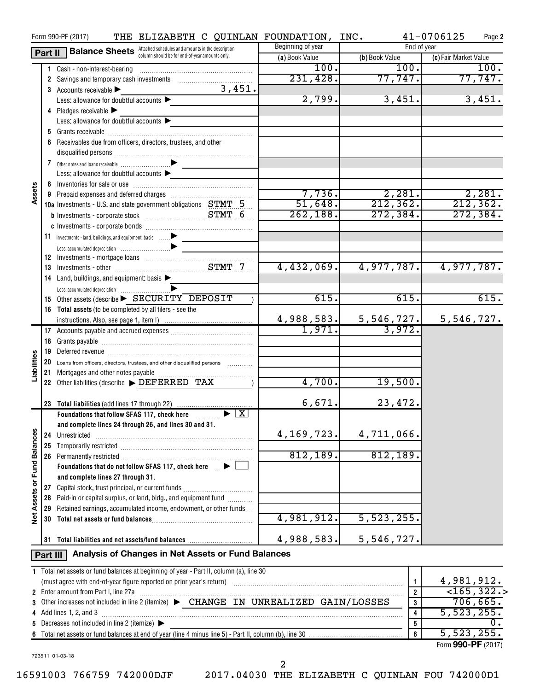|                             |          | THE ELIZABETH C QUINLAN FOUNDATION, INC.<br>Form 990-PF (2017)                                                                                                                                                                 |                   |                 | 41-0706125<br>Page 2  |
|-----------------------------|----------|--------------------------------------------------------------------------------------------------------------------------------------------------------------------------------------------------------------------------------|-------------------|-----------------|-----------------------|
|                             | Part II  | <b>Balance Sheets</b> Attached schedules and amounts in the description                                                                                                                                                        | Beginning of year |                 | End of year           |
|                             |          | column should be for end-of-year amounts only.                                                                                                                                                                                 | (a) Book Value    | (b) Book Value  | (c) Fair Market Value |
|                             |          | 1 Cash - non-interest-bearing                                                                                                                                                                                                  | 100.              | 100.            | 100.                  |
|                             |          | 2 Savings and temporary cash investments                                                                                                                                                                                       | 231,428.          | 77,747.         | 77,747.               |
|                             |          | 3,451.<br>3 Accounts receivable $\blacktriangleright$                                                                                                                                                                          |                   |                 |                       |
|                             |          | Less: allowance for doubtful accounts $\blacktriangleright$                                                                                                                                                                    | 2,799.            | 3,451.          | 3,451.                |
|                             |          | 4 Pledges receivable $\blacktriangleright$                                                                                                                                                                                     |                   |                 |                       |
|                             |          | Less: allowance for doubtful accounts $\blacktriangleright$                                                                                                                                                                    |                   |                 |                       |
|                             |          |                                                                                                                                                                                                                                |                   |                 |                       |
|                             |          | 6 Receivables due from officers, directors, trustees, and other                                                                                                                                                                |                   |                 |                       |
|                             |          |                                                                                                                                                                                                                                |                   |                 |                       |
|                             |          |                                                                                                                                                                                                                                |                   |                 |                       |
|                             |          |                                                                                                                                                                                                                                |                   |                 |                       |
|                             |          | Less: allowance for doubtful accounts                                                                                                                                                                                          |                   |                 |                       |
| Assets                      |          |                                                                                                                                                                                                                                |                   |                 |                       |
|                             |          |                                                                                                                                                                                                                                | 7,736.            | 2,281.          | 2,281.                |
|                             |          | 10a Investments - U.S. and state government obligations STMT 5                                                                                                                                                                 | 51,648.           | 212, 362.       | 212, 362.             |
|                             |          |                                                                                                                                                                                                                                | 262, 188.         | 272, 384.       | 272, 384.             |
|                             |          |                                                                                                                                                                                                                                |                   |                 |                       |
|                             |          |                                                                                                                                                                                                                                |                   |                 |                       |
|                             |          |                                                                                                                                                                                                                                |                   |                 |                       |
|                             |          |                                                                                                                                                                                                                                |                   |                 |                       |
|                             | 13       |                                                                                                                                                                                                                                | 4,432,069.        | 4,977,787.      | 4,977,787.            |
|                             |          | 14 Land, buildings, and equipment: basis                                                                                                                                                                                       |                   |                 |                       |
|                             |          |                                                                                                                                                                                                                                |                   |                 |                       |
|                             |          | 15 Other assets (describe > SECURITY DEPOSIT                                                                                                                                                                                   | 615.              | 615.            | 615.                  |
|                             |          | 16 Total assets (to be completed by all filers - see the                                                                                                                                                                       |                   |                 |                       |
|                             |          |                                                                                                                                                                                                                                | 4,988,583.        | [5, 546, 727.]  | 5,546,727.            |
|                             |          |                                                                                                                                                                                                                                | 1,971.            | 3,972.          |                       |
|                             |          |                                                                                                                                                                                                                                |                   |                 |                       |
|                             | 18       |                                                                                                                                                                                                                                |                   |                 |                       |
|                             | 19       | Deferred revenue information and contain an area of the contained revenue in the contained and contained and contained and contained and contained and contained and contained and contained and contained and contained and c |                   |                 |                       |
|                             | 20       | Loans from officers, directors, trustees, and other disqualified persons                                                                                                                                                       |                   |                 |                       |
| Liabilities                 | 21       |                                                                                                                                                                                                                                |                   |                 |                       |
|                             |          | 22 Other liabilities (describe > DEFERRED TAX                                                                                                                                                                                  | 4,700.            | 19,500.         |                       |
|                             |          |                                                                                                                                                                                                                                |                   |                 |                       |
|                             |          | 23 Total liabilities (add lines 17 through 22)                                                                                                                                                                                 | 6,671.            | 23, 472.        |                       |
|                             |          | Foundations that follow SFAS 117, check here $\Box$                                                                                                                                                                            |                   |                 |                       |
|                             |          | and complete lines 24 through 26, and lines 30 and 31.                                                                                                                                                                         |                   |                 |                       |
|                             | 24       | Unrestricted                                                                                                                                                                                                                   | 4, 169, 723.      | 4,711,066.      |                       |
|                             | 25       |                                                                                                                                                                                                                                |                   |                 |                       |
| Net Assets or Fund Balances |          |                                                                                                                                                                                                                                | 812,189.          | 812, 189.       |                       |
|                             |          | Foundations that do not follow SFAS 117, check here $\Box \blacktriangleright$ $\Box$                                                                                                                                          |                   |                 |                       |
|                             |          | and complete lines 27 through 31.                                                                                                                                                                                              |                   |                 |                       |
|                             |          | 27 Capital stock, trust principal, or current funds                                                                                                                                                                            |                   |                 |                       |
|                             |          | 28 Paid-in or capital surplus, or land, bldg., and equipment fund <i></i>                                                                                                                                                      |                   |                 |                       |
|                             | 29       | Retained earnings, accumulated income, endowment, or other funds                                                                                                                                                               |                   |                 |                       |
|                             | 30       |                                                                                                                                                                                                                                | 4,981,912.        | 5,523,255.      |                       |
|                             |          |                                                                                                                                                                                                                                |                   |                 |                       |
|                             | 31       | Total liabilities and net assets/fund balances                                                                                                                                                                                 | 4,988,583.        | 5,546,727.      |                       |
|                             |          | Analysis of Changes in Net Assets or Fund Balances                                                                                                                                                                             |                   |                 |                       |
|                             | Part III |                                                                                                                                                                                                                                |                   |                 |                       |
|                             |          | 1 Total net assets or fund balances at beginning of year - Part II, column (a), line 30                                                                                                                                        |                   |                 |                       |
|                             |          | (must agree with end-of-year figure reported on prior year's return)                                                                                                                                                           |                   | 1               | 4,981,912.            |
|                             |          | 2 Enter amount from Part I, line 27a                                                                                                                                                                                           | $\overline{2}$    | $<$ 165, 322. > |                       |
| 3                           |          |                                                                                                                                                                                                                                |                   | 3               | 706,665.              |
|                             |          | 4 Add lines 1, 2, and 3                                                                                                                                                                                                        |                   | 4               | 5,523,255.            |
|                             |          | 5 Decreases not included in line 2 (itemize) $\blacktriangleright$                                                                                                                                                             |                   | 5               | О.                    |
|                             |          |                                                                                                                                                                                                                                |                   | $6\phantom{a}$  | 5,523,255.            |

Form **990-PF** (2017)

2

16591003 766759 742000DJF 2017.04030 THE ELIZABETH C QUINLAN FOU 742000D1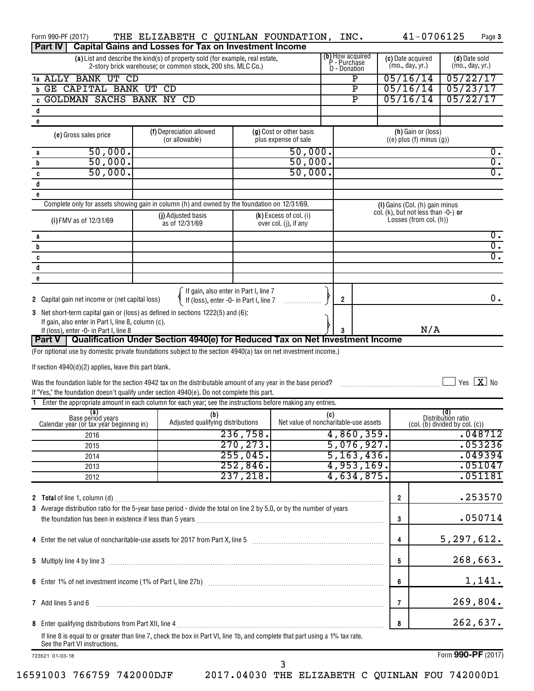| Form 990-PF (2017)                                                                                                                                                                                                                                                    | THE ELIZABETH C QUINLAN FOUNDATION, INC.                                                                                                     |           |                                                 |                                                         |                         |                                                                  | 41-0706125         |                                                             | Page 3           |
|-----------------------------------------------------------------------------------------------------------------------------------------------------------------------------------------------------------------------------------------------------------------------|----------------------------------------------------------------------------------------------------------------------------------------------|-----------|-------------------------------------------------|---------------------------------------------------------|-------------------------|------------------------------------------------------------------|--------------------|-------------------------------------------------------------|------------------|
| Part IV                                                                                                                                                                                                                                                               | <b>Capital Gains and Losses for Tax on Investment Income</b>                                                                                 |           |                                                 |                                                         |                         |                                                                  |                    |                                                             |                  |
|                                                                                                                                                                                                                                                                       | (a) List and describe the kind(s) of property sold (for example, real estate,<br>2-story brick warehouse; or common stock, 200 shs. MLC Co.) |           |                                                 | (b) How acquired<br>P - Purchase<br><b>D</b> - Donation |                         | (c) Date acquired<br>(mo., day, yr.)                             |                    | (d) Date sold<br>(mo., day, yr.)                            |                  |
| 1a ALLY BANK UT CD                                                                                                                                                                                                                                                    | Ρ                                                                                                                                            |           |                                                 |                                                         |                         | 05/16/14                                                         |                    | 05/22/17                                                    |                  |
| <b>b GE CAPITAL BANK UT</b>                                                                                                                                                                                                                                           | CD                                                                                                                                           |           |                                                 |                                                         | $\overline{\texttt{P}}$ | 05/16/14                                                         |                    | 05/23/17                                                    |                  |
| GOLDMAN SACHS BANK NY CD<br>c                                                                                                                                                                                                                                         |                                                                                                                                              |           |                                                 |                                                         | $\overline{\mathtt{P}}$ | 05/16/14                                                         |                    | 05/22/17                                                    |                  |
| d                                                                                                                                                                                                                                                                     |                                                                                                                                              |           |                                                 |                                                         |                         |                                                                  |                    |                                                             |                  |
| e                                                                                                                                                                                                                                                                     |                                                                                                                                              |           |                                                 |                                                         |                         |                                                                  |                    |                                                             |                  |
| (e) Gross sales price                                                                                                                                                                                                                                                 | (f) Depreciation allowed<br>(or allowable)                                                                                                   |           | (g) Cost or other basis<br>plus expense of sale |                                                         |                         | $((e)$ plus $(f)$ minus $(g))$                                   | (h) Gain or (loss) |                                                             |                  |
| 50,000.<br>а                                                                                                                                                                                                                                                          |                                                                                                                                              |           | 50,000.                                         |                                                         |                         |                                                                  |                    |                                                             | 0.               |
| 50,000.<br>b                                                                                                                                                                                                                                                          |                                                                                                                                              |           | 50,000.                                         |                                                         |                         |                                                                  |                    |                                                             | $\overline{0}$ . |
| 50,000.<br>C                                                                                                                                                                                                                                                          |                                                                                                                                              |           | 50,000.                                         |                                                         |                         |                                                                  |                    |                                                             | $\overline{0}$ . |
| $\mathsf d$<br>e                                                                                                                                                                                                                                                      |                                                                                                                                              |           |                                                 |                                                         |                         |                                                                  |                    |                                                             |                  |
| Complete only for assets showing gain in column (h) and owned by the foundation on 12/31/69.                                                                                                                                                                          |                                                                                                                                              |           |                                                 |                                                         |                         | (I) Gains (Col. (h) gain minus                                   |                    |                                                             |                  |
| (i) FMV as of 12/31/69                                                                                                                                                                                                                                                | (j) Adjusted basis<br>as of 12/31/69                                                                                                         |           | (k) Excess of col. (i)<br>over col. (j), if any |                                                         |                         | col. (k), but not less than $-0$ -) or<br>Losses (from col. (h)) |                    |                                                             |                  |
| а                                                                                                                                                                                                                                                                     |                                                                                                                                              |           |                                                 |                                                         |                         |                                                                  |                    |                                                             | $0$ .            |
| b                                                                                                                                                                                                                                                                     |                                                                                                                                              |           |                                                 |                                                         |                         |                                                                  |                    |                                                             | $\overline{0}$ . |
| C                                                                                                                                                                                                                                                                     |                                                                                                                                              |           |                                                 |                                                         |                         |                                                                  |                    |                                                             | $\overline{0}$ . |
| d                                                                                                                                                                                                                                                                     |                                                                                                                                              |           |                                                 |                                                         |                         |                                                                  |                    |                                                             |                  |
| e                                                                                                                                                                                                                                                                     |                                                                                                                                              |           |                                                 |                                                         |                         |                                                                  |                    |                                                             |                  |
|                                                                                                                                                                                                                                                                       | If gain, also enter in Part I, line 7<br>If (loss), enter -0- in Part I, line 7                                                              |           |                                                 |                                                         |                         |                                                                  |                    |                                                             |                  |
| 2 Capital gain net income or (net capital loss)                                                                                                                                                                                                                       |                                                                                                                                              |           |                                                 | $\overline{2}$                                          |                         |                                                                  |                    |                                                             | $0$ .            |
| 3 Net short-term capital gain or (loss) as defined in sections 1222(5) and (6):                                                                                                                                                                                       |                                                                                                                                              |           |                                                 |                                                         |                         |                                                                  |                    |                                                             |                  |
| If gain, also enter in Part I, line 8, column (c).                                                                                                                                                                                                                    |                                                                                                                                              |           |                                                 | 3                                                       |                         |                                                                  | N/A                |                                                             |                  |
| Part V   Qualification Under Section 4940(e) for Reduced Tax on Net Investment Income                                                                                                                                                                                 |                                                                                                                                              |           |                                                 |                                                         |                         |                                                                  |                    |                                                             |                  |
| If section 4940(d)(2) applies, leave this part blank.<br>Was the foundation liable for the section 4942 tax on the distributable amount of any year in the base period?<br>If "Yes," the foundation doesn't qualify under section 4940(e). Do not complete this part. |                                                                                                                                              |           |                                                 |                                                         |                         |                                                                  |                    |                                                             | Yes $X$ No       |
| 1 Enter the appropriate amount in each column for each year; see the instructions before making any entries.                                                                                                                                                          |                                                                                                                                              |           |                                                 |                                                         |                         |                                                                  |                    |                                                             |                  |
| (a)<br>Base periód years<br>Calendar year (or tax year beginning in)                                                                                                                                                                                                  | (b)<br>Adjusted qualifying distributions                                                                                                     |           | Net value of noncharitable-use assets           | (c)                                                     |                         |                                                                  |                    | (d)<br>Distribution ratio<br>(col. (b) divided by col. (c)) |                  |
| 2016                                                                                                                                                                                                                                                                  |                                                                                                                                              | 236,758.  |                                                 |                                                         | 4,860,359.              |                                                                  |                    |                                                             | .048712          |
| 2015                                                                                                                                                                                                                                                                  |                                                                                                                                              | 270, 273. |                                                 |                                                         | 5,076,927.              |                                                                  |                    |                                                             | .053236          |
| 2014                                                                                                                                                                                                                                                                  |                                                                                                                                              | 255,045.  |                                                 |                                                         | 5, 163, 436.            |                                                                  |                    |                                                             | .049394          |
| 2013                                                                                                                                                                                                                                                                  |                                                                                                                                              | 252,846.  |                                                 |                                                         | 4,953,169.              |                                                                  |                    |                                                             | .051047          |
| 2012                                                                                                                                                                                                                                                                  |                                                                                                                                              | 237,218.  |                                                 |                                                         | 4,634,875.              |                                                                  |                    |                                                             | .051181          |
|                                                                                                                                                                                                                                                                       |                                                                                                                                              |           |                                                 |                                                         |                         | $\overline{\mathbf{2}}$                                          |                    |                                                             | .253570          |
| 3 Average distribution ratio for the 5-year base period - divide the total on line 2 by 5.0, or by the number of years                                                                                                                                                |                                                                                                                                              |           |                                                 |                                                         |                         |                                                                  |                    |                                                             |                  |
|                                                                                                                                                                                                                                                                       |                                                                                                                                              |           |                                                 |                                                         |                         | 3                                                                |                    |                                                             | .050714          |
| 4 Enter the net value of noncharitable-use assets for 2017 from Part X, line 5 [11] manufacture in the net value of noncharitable-use assets for 2017 from Part X, line 5                                                                                             |                                                                                                                                              |           |                                                 |                                                         |                         | 4                                                                |                    | 5, 297, 612.                                                |                  |
|                                                                                                                                                                                                                                                                       |                                                                                                                                              |           |                                                 |                                                         |                         | 5                                                                |                    |                                                             | 268,663.         |
|                                                                                                                                                                                                                                                                       |                                                                                                                                              |           |                                                 |                                                         | 6                       |                                                                  |                    | 1,141.                                                      |                  |
|                                                                                                                                                                                                                                                                       |                                                                                                                                              |           |                                                 |                                                         |                         |                                                                  |                    |                                                             |                  |
| 7 Add lines 5 and 6                                                                                                                                                                                                                                                   |                                                                                                                                              |           |                                                 |                                                         |                         | 7                                                                |                    |                                                             | 269,804.         |
| If line 8 is equal to or greater than line 7, check the box in Part VI, line 1b, and complete that part using a 1% tax rate.                                                                                                                                          |                                                                                                                                              |           |                                                 |                                                         |                         | 8                                                                |                    |                                                             | 262,637.         |
| See the Part VI instructions.                                                                                                                                                                                                                                         |                                                                                                                                              |           |                                                 |                                                         |                         |                                                                  |                    |                                                             |                  |
| 723521 01-03-18                                                                                                                                                                                                                                                       |                                                                                                                                              |           | 3                                               |                                                         |                         |                                                                  |                    | Form 990-PF (2017)                                          |                  |

16591003 766759 742000DJF 2017.04030 THE ELIZABETH C QUINLAN FOU 742000D1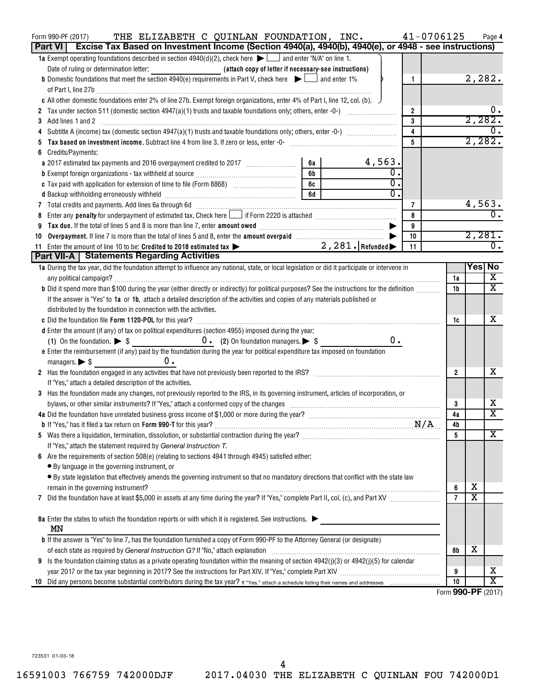| 41-0706125<br>THE ELIZABETH C QUINLAN FOUNDATION, INC.<br>Form 990-PF (2017)                                                                                                                                                        |                          |                       | Page 4                       |
|-------------------------------------------------------------------------------------------------------------------------------------------------------------------------------------------------------------------------------------|--------------------------|-----------------------|------------------------------|
| Part VI<br>Excise Tax Based on Investment Income (Section 4940(a), 4940(b), 4940(e), or 4948 - see instructions)                                                                                                                    |                          |                       |                              |
| 1a Exempt operating foundations described in section $4940(d)(2)$ , check here $\blacktriangleright$ and enter "N/A" on line 1.                                                                                                     |                          |                       |                              |
|                                                                                                                                                                                                                                     |                          |                       |                              |
| <b>b</b> Domestic foundations that meet the section 4940(e) requirements in Part V, check here $\blacktriangleright$ $\Box$ and enter 1%<br>1.                                                                                      |                          |                       | 2,282.                       |
| of Part I, line 27b $\ldots$                                                                                                                                                                                                        |                          |                       |                              |
| c All other domestic foundations enter 2% of line 27b. Exempt foreign organizations, enter 4% of Part I, line 12, col. (b).                                                                                                         |                          |                       |                              |
| $\overline{2}$<br>Tax under section 511 (domestic section 4947(a)(1) trusts and taxable foundations only; others, enter -0-) <i>massessesses</i>                                                                                    |                          |                       | 0.                           |
| 3<br>Add lines 1 and 2<br>3                                                                                                                                                                                                         |                          |                       | 2,282.                       |
| $\overline{\mathbf{4}}$<br>4                                                                                                                                                                                                        |                          |                       |                              |
| 5                                                                                                                                                                                                                                   |                          |                       | 2,282.                       |
| Credits/Payments:<br>6<br>4,563.                                                                                                                                                                                                    |                          |                       |                              |
| 6а<br>a 2017 estimated tax payments and 2016 overpayment credited to 2017 [11, 12, 13, 13, 13, 13, 13, 13, 13, 13, 1<br>0<br>6b                                                                                                     |                          |                       |                              |
| $\overline{0}$ .<br>6c                                                                                                                                                                                                              |                          |                       |                              |
| Ω.<br>6d                                                                                                                                                                                                                            |                          |                       |                              |
| 7 Total credits and payments. Add lines 6a through 6d [11] [12] Martin Martin Martin Martin Martin Martin Martin Martin Martin Martin Martin Martin Martin Martin Martin Martin Martin Martin Martin Martin Martin Martin Mart<br>7 |                          |                       | 4,563.                       |
| 8<br>Enter any <b>penalty</b> for underpayment of estimated tax. Check here <b>Fig. 1</b> if Form 2220 is attached <i>mummummummum</i><br>8                                                                                         |                          |                       | $\overline{0}$ .             |
| 9<br>9                                                                                                                                                                                                                              |                          |                       |                              |
| 10<br>Overpayment. If line 7 is more than the total of lines 5 and 8, enter the amount overpaid manufactured and S,<br>10                                                                                                           |                          |                       | 2,281.                       |
| $2,281.$ Refunded $\blacktriangleright$<br>11<br>11 Enter the amount of line 10 to be: Credited to 2018 estimated tax >                                                                                                             |                          |                       | 0.                           |
| Part VII-A   Statements Regarding Activities                                                                                                                                                                                        |                          |                       |                              |
| 1a During the tax year, did the foundation attempt to influence any national, state, or local legislation or did it participate or intervene in                                                                                     |                          |                       | Yes No                       |
|                                                                                                                                                                                                                                     | 1a                       |                       | $\overline{\mathbf{X}}$      |
| b Did it spend more than \$100 during the year (either directly or indirectly) for political purposes? See the instructions for the definition                                                                                      | 1b                       |                       | $\overline{\mathbf{X}}$      |
| If the answer is "Yes" to 1a or 1b, attach a detailed description of the activities and copies of any materials published or                                                                                                        |                          |                       |                              |
| distributed by the foundation in connection with the activities.                                                                                                                                                                    |                          |                       |                              |
|                                                                                                                                                                                                                                     | 1c                       |                       | x                            |
| d Enter the amount (if any) of tax on political expenditures (section 4955) imposed during the year:                                                                                                                                |                          |                       |                              |
| 0.                                                                                                                                                                                                                                  |                          |                       |                              |
| e Enter the reimbursement (if any) paid by the foundation during the year for political expenditure tax imposed on foundation                                                                                                       |                          |                       |                              |
| $0$ .<br>managers. $\triangleright$ \$                                                                                                                                                                                              |                          |                       |                              |
| 2 Has the foundation engaged in any activities that have not previously been reported to the IRS? [[[[[[[[[[[ [ [ [ [ [ [ [ ] [ ]]]]]                                                                                               | $\overline{2}$           |                       | x                            |
| If "Yes," attach a detailed description of the activities.                                                                                                                                                                          |                          |                       |                              |
| 3 Has the foundation made any changes, not previously reported to the IRS, in its governing instrument, articles of incorporation, or                                                                                               |                          |                       | x                            |
|                                                                                                                                                                                                                                     | 3<br>4a                  |                       | $\overline{\mathtt{x}}$      |
|                                                                                                                                                                                                                                     | 4b                       |                       |                              |
|                                                                                                                                                                                                                                     | 5                        |                       | $\overline{\textbf{X}}$      |
| If "Yes," attach the statement required by General Instruction T.                                                                                                                                                                   |                          |                       |                              |
| 6 Are the requirements of section 508(e) (relating to sections 4941 through 4945) satisfied either:                                                                                                                                 |                          |                       |                              |
| • By language in the governing instrument, or                                                                                                                                                                                       |                          |                       |                              |
| · By state legislation that effectively amends the governing instrument so that no mandatory directions that conflict with the state law                                                                                            |                          |                       |                              |
|                                                                                                                                                                                                                                     | 6                        | X                     |                              |
| 7                                                                                                                                                                                                                                   | $\overline{7}$           | $\overline{\text{X}}$ |                              |
|                                                                                                                                                                                                                                     |                          |                       |                              |
| 8a Enter the states to which the foundation reports or with which it is registered. See instructions.                                                                                                                               |                          |                       |                              |
| MN                                                                                                                                                                                                                                  |                          |                       |                              |
| b If the answer is "Yes" to line 7, has the foundation furnished a copy of Form 990-PF to the Attorney General (or designate)                                                                                                       |                          |                       |                              |
| of each state as required by General Instruction G? If "No," attach explanation manufactured as required by General Instruction G? If "No," attach explanation manufactured as a set of the state of the state of the state of      | 8b                       | х                     |                              |
| Is the foundation claiming status as a private operating foundation within the meaning of section 4942(j)(3) or 4942(j)(5) for calendar<br>9                                                                                        |                          |                       |                              |
|                                                                                                                                                                                                                                     | 9                        |                       | х<br>$\overline{\mathtt{x}}$ |
| 10                                                                                                                                                                                                                                  | 10<br>Form 990-PF (2017) |                       |                              |
|                                                                                                                                                                                                                                     |                          |                       |                              |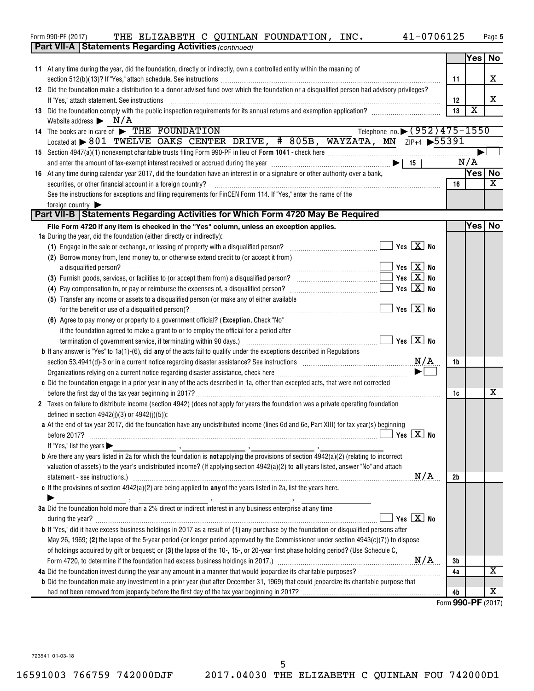| THE ELIZABETH C QUINLAN FOUNDATION, INC.<br>Form 990-PF (2017)                                                                                                      | 41-0706125         |                         | Page 5                  |
|---------------------------------------------------------------------------------------------------------------------------------------------------------------------|--------------------|-------------------------|-------------------------|
| <b>Part VII-A   Statements Regarding Activities (continued)</b>                                                                                                     |                    |                         |                         |
|                                                                                                                                                                     |                    |                         | Yes No                  |
| 11 At any time during the year, did the foundation, directly or indirectly, own a controlled entity within the meaning of                                           |                    |                         |                         |
|                                                                                                                                                                     | 11                 |                         | х                       |
| 12 Did the foundation make a distribution to a donor advised fund over which the foundation or a disqualified person had advisory privileges?                       |                    |                         |                         |
| If "Yes," attach statement. See instructions                                                                                                                        | 12                 |                         | х                       |
| 13 Did the foundation comply with the public inspection requirements for its annual returns and exemption application?                                              | 13                 | $\overline{\textbf{x}}$ |                         |
| Website address $\triangleright$ N/A                                                                                                                                |                    |                         |                         |
| Telephone no. • (952) 475-1550<br>14 The books are in care of FIHE FOUNDATION                                                                                       |                    |                         |                         |
| Located at > 801 TWELVE OAKS CENTER DRIVE, # 805B, WAYZATA, MN $ZIP+4$ >55391                                                                                       |                    |                         |                         |
|                                                                                                                                                                     |                    |                         |                         |
|                                                                                                                                                                     |                    | N/A                     |                         |
| 16 At any time during calendar year 2017, did the foundation have an interest in or a signature or other authority over a bank,                                     |                    |                         | Yes No                  |
| securities, or other financial account in a foreign country?                                                                                                        | 16                 |                         | x                       |
| See the instructions for exceptions and filing requirements for FinCEN Form 114. If "Yes," enter the name of the                                                    |                    |                         |                         |
| foreign country                                                                                                                                                     |                    |                         |                         |
| Part VII-B   Statements Regarding Activities for Which Form 4720 May Be Required                                                                                    |                    |                         |                         |
| File Form 4720 if any item is checked in the "Yes" column, unless an exception applies.                                                                             |                    | Yes                     | No                      |
| 1a During the year, did the foundation (either directly or indirectly):                                                                                             |                    |                         |                         |
| $\blacksquare$ Yes $\boxed{\mathrm{X}}$ No<br>(1) Engage in the sale or exchange, or leasing of property with a disqualified person?                                |                    |                         |                         |
| (2) Borrow money from, lend money to, or otherwise extend credit to (or accept it from)<br>$\blacksquare$ Yes $\boxed{\mathrm{X}}$ No                               |                    |                         |                         |
| a disqualified person?<br>$\blacksquare$ Yes $\boxed{\mathrm{X}}$ No                                                                                                |                    |                         |                         |
| Yes $X$ No                                                                                                                                                          |                    |                         |                         |
| (5) Transfer any income or assets to a disqualified person (or make any of either available                                                                         |                    |                         |                         |
| $\blacksquare$ Yes $\boxed{\mathrm{X}}$ No<br>for the benefit or use of a disqualified person)?                                                                     |                    |                         |                         |
| (6) Agree to pay money or property to a government official? (Exception. Check "No"                                                                                 |                    |                         |                         |
| if the foundation agreed to make a grant to or to employ the official for a period after                                                                            |                    |                         |                         |
| $\boxed{\phantom{1}}$ Yes $\boxed{\textbf{X}}$ No<br>termination of government service, if terminating within 90 days.) [11, 12, 13, 13, 13, 13, 14, 14, 15, 16, 16 |                    |                         |                         |
| <b>b</b> If any answer is "Yes" to $1a(1)$ -(6), did <b>any</b> of the acts fail to qualify under the exceptions described in Regulations                           |                    |                         |                         |
| section 53.4941(d)-3 or in a current notice regarding disaster assistance? See instructions $M/A$                                                                   | 1b                 |                         |                         |
|                                                                                                                                                                     |                    |                         |                         |
| c Did the foundation engage in a prior year in any of the acts described in 1a, other than excepted acts, that were not corrected                                   |                    |                         |                         |
|                                                                                                                                                                     | 1c                 |                         | x                       |
| 2 Taxes on failure to distribute income (section 4942) (does not apply for years the foundation was a private operating foundation                                  |                    |                         |                         |
| defined in section $4942(j)(3)$ or $4942(j)(5)$ ):                                                                                                                  |                    |                         |                         |
| a At the end of tax year 2017, did the foundation have any undistributed income (lines 6d and 6e, Part XIII) for tax year(s) beginning                              |                    |                         |                         |
| Yes $X$ No<br>before 2017?                                                                                                                                          |                    |                         |                         |
| If "Yes," list the years                                                                                                                                            |                    |                         |                         |
|                                                                                                                                                                     |                    |                         |                         |
| valuation of assets) to the year's undistributed income? (If applying section 4942(a)(2) to all years listed, answer "No" and attach                                |                    |                         |                         |
|                                                                                                                                                                     | N/A<br>2b          |                         |                         |
| c If the provisions of section $4942(a)(2)$ are being applied to any of the years listed in 2a, list the years here.                                                |                    |                         |                         |
|                                                                                                                                                                     |                    |                         |                         |
| 3a Did the foundation hold more than a 2% direct or indirect interest in any business enterprise at any time                                                        |                    |                         |                         |
| Yes $X$ No<br>during the year?                                                                                                                                      |                    |                         |                         |
| <b>b</b> If "Yes," did it have excess business holdings in 2017 as a result of (1) any purchase by the foundation or disqualified persons after                     |                    |                         |                         |
| May 26, 1969; (2) the lapse of the 5-year period (or longer period approved by the Commissioner under section $4943(c)(7)$ ) to dispose                             |                    |                         |                         |
| of holdings acquired by gift or bequest; or (3) the lapse of the 10-, 15-, or 20-year first phase holding period? (Use Schedule C,                                  |                    |                         |                         |
|                                                                                                                                                                     | 3b                 |                         |                         |
| 4a Did the foundation invest during the year any amount in a manner that would jeopardize its charitable purposes?                                                  | 4a                 |                         | $\overline{\textbf{x}}$ |
| <b>b</b> Did the foundation make any investment in a prior year (but after December 31, 1969) that could jeopardize its charitable purpose that                     |                    |                         |                         |
|                                                                                                                                                                     | 4b                 |                         | x                       |
|                                                                                                                                                                     | Form 990-PF (2017) |                         |                         |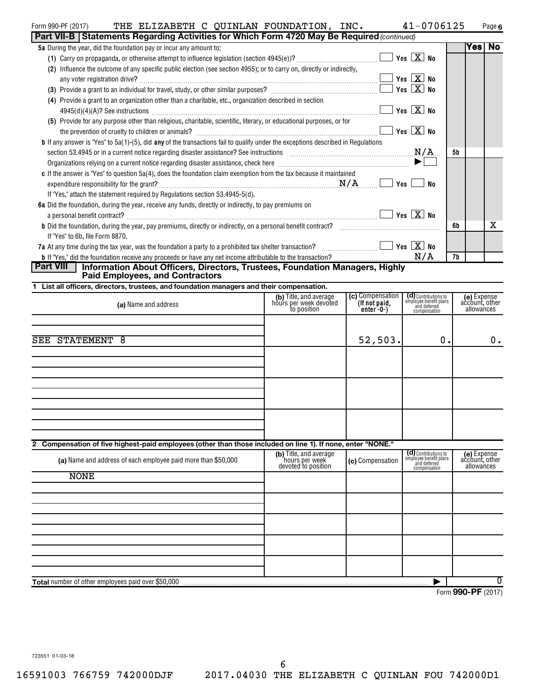| THE ELIZABETH C QUINLAN FOUNDATION, INC.<br>Form 990-PF (2017)                                                                          |                                                  |                                   | 41-0706125                                                     |                               | Page 6         |
|-----------------------------------------------------------------------------------------------------------------------------------------|--------------------------------------------------|-----------------------------------|----------------------------------------------------------------|-------------------------------|----------------|
| Part VII-B   Statements Regarding Activities for Which Form 4720 May Be Required (continued)                                            |                                                  |                                   |                                                                |                               |                |
| 5a During the year, did the foundation pay or incur any amount to:                                                                      |                                                  |                                   |                                                                | Yes                           | N <sub>o</sub> |
|                                                                                                                                         |                                                  |                                   | $Yes \quad X$ No                                               |                               |                |
| (2) Influence the outcome of any specific public election (see section 4955); or to carry on, directly or indirectly,                   |                                                  |                                   |                                                                |                               |                |
|                                                                                                                                         |                                                  |                                   | Yes $X$ No                                                     |                               |                |
|                                                                                                                                         |                                                  |                                   | Yes $X$ No                                                     |                               |                |
| (4) Provide a grant to an organization other than a charitable, etc., organization described in section                                 |                                                  |                                   |                                                                |                               |                |
|                                                                                                                                         |                                                  |                                   | Yes $\boxed{\mathbf{X}}$ No                                    |                               |                |
| (5) Provide for any purpose other than religious, charitable, scientific, literary, or educational purposes, or for                     |                                                  |                                   |                                                                |                               |                |
|                                                                                                                                         |                                                  |                                   | Yes $X$ No                                                     |                               |                |
| <b>b</b> If any answer is "Yes" to 5a(1)-(5), did any of the transactions fail to qualify under the exceptions described in Regulations |                                                  |                                   |                                                                |                               |                |
|                                                                                                                                         |                                                  |                                   | N/A                                                            | 5b                            |                |
|                                                                                                                                         |                                                  |                                   |                                                                |                               |                |
| c If the answer is "Yes" to question 5a(4), does the foundation claim exemption from the tax because it maintained                      |                                                  |                                   |                                                                |                               |                |
|                                                                                                                                         |                                                  |                                   | $Yes \quad No$                                                 |                               |                |
| If "Yes," attach the statement required by Regulations section 53.4945-5(d).                                                            |                                                  |                                   |                                                                |                               |                |
| 6a Did the foundation, during the year, receive any funds, directly or indirectly, to pay premiums on                                   |                                                  |                                   |                                                                |                               |                |
|                                                                                                                                         |                                                  |                                   |                                                                |                               |                |
|                                                                                                                                         |                                                  |                                   |                                                                | 6b                            | х              |
| If "Yes" to 6b, file Form 8870.                                                                                                         |                                                  |                                   |                                                                |                               |                |
| 7a At any time during the tax year, was the foundation a party to a prohibited tax shelter transaction? $\ldots$ $\ldots$ $\ldots$      |                                                  |                                   |                                                                |                               |                |
|                                                                                                                                         |                                                  |                                   |                                                                | 7b                            |                |
| Part VIII<br>Information About Officers, Directors, Trustees, Foundation Managers, Highly                                               |                                                  |                                   |                                                                |                               |                |
| <b>Paid Employees, and Contractors</b>                                                                                                  |                                                  |                                   |                                                                |                               |                |
| 1 List all officers, directors, trustees, and foundation managers and their compensation.                                               |                                                  |                                   |                                                                |                               |                |
| (a) Name and address                                                                                                                    | (b) Title, and average<br>hours per week devoted | (c) Compensation<br>(If not paid, | (d) Contributions to<br>employee benefit plans<br>and deferred | (e) Expense<br>account, other |                |
|                                                                                                                                         | to position                                      | enter-0-)                         | compensation                                                   | allowances                    |                |
|                                                                                                                                         |                                                  |                                   |                                                                |                               |                |
|                                                                                                                                         |                                                  |                                   |                                                                |                               |                |
| SEE STATEMENT 8                                                                                                                         |                                                  | 52, 503.                          | 0.                                                             |                               | 0.             |
|                                                                                                                                         |                                                  |                                   |                                                                |                               |                |
|                                                                                                                                         |                                                  |                                   |                                                                |                               |                |
|                                                                                                                                         |                                                  |                                   |                                                                |                               |                |
|                                                                                                                                         |                                                  |                                   |                                                                |                               |                |
|                                                                                                                                         |                                                  |                                   |                                                                |                               |                |
|                                                                                                                                         |                                                  |                                   |                                                                |                               |                |
|                                                                                                                                         |                                                  |                                   |                                                                |                               |                |
|                                                                                                                                         |                                                  |                                   |                                                                |                               |                |
|                                                                                                                                         |                                                  |                                   |                                                                |                               |                |
| 2 Compensation of five highest-paid employees (other than those included on line 1). If none, enter "NONE."                             |                                                  |                                   |                                                                |                               |                |
| (a) Name and address of each employee paid more than \$50,000                                                                           | (b) Title, and average<br>hours per week         | (c) Compensation                  | (d) Contributions to<br>employee benefit plans                 | (e) Expense<br>account, other |                |
|                                                                                                                                         | devoted to position                              |                                   | and deferred<br>compensation                                   | allowances                    |                |
| <b>NONE</b>                                                                                                                             |                                                  |                                   |                                                                |                               |                |
|                                                                                                                                         |                                                  |                                   |                                                                |                               |                |
|                                                                                                                                         |                                                  |                                   |                                                                |                               |                |
|                                                                                                                                         |                                                  |                                   |                                                                |                               |                |
|                                                                                                                                         |                                                  |                                   |                                                                |                               |                |
|                                                                                                                                         |                                                  |                                   |                                                                |                               |                |
|                                                                                                                                         |                                                  |                                   |                                                                |                               |                |
|                                                                                                                                         |                                                  |                                   |                                                                |                               |                |

**Total** number of other employees paid over \$50,000 | Form **990-PF** (2017)

0

723551 01-03-18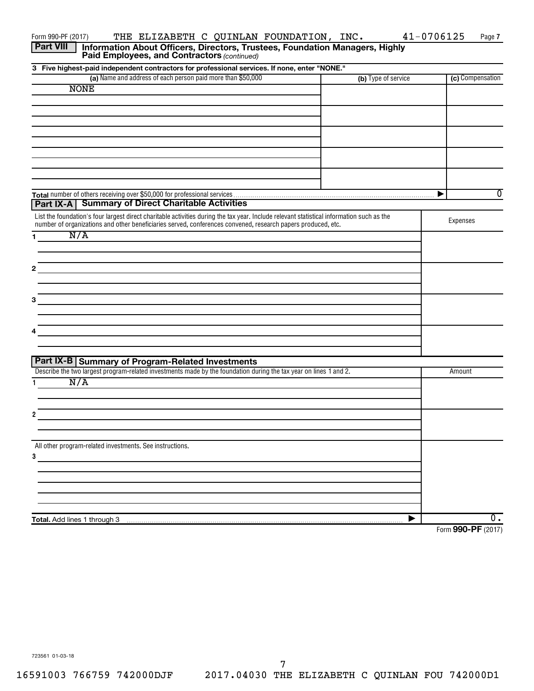**1 2 3 3 Five highest-paid independent contractors for professional services. If none, enter "NONE." (a)** Name and address of each person paid more than \$50,000 **The Compensation Compensation (c)** Compensation **Total** number of others receiving over \$50,000 for professional services **1 2 3 4 Total.** Add lines 1 through 3 Paid Employees, and Contractors (continued) Form 990-PF (2017) THE ELIZABETH C QUINLAN FOUNDATION, INC.  $41-0706125$  Page List the foundation's four largest direct charitable activities during the tax year. Include relevant statistical information such as the number of organizations and other beneficiaries served, conferences convened, research papers produced, etc. Expenses Describe the two largest program-related investments made by the foundation during the tax year on lines 1 and 2. All other program-related investments. See instructions. Form **990-PF** (2017) **Part VIII** | Information About Officers, Directors, Trustees, Foundation Managers, Highly **Part IX-A Summary of Direct Charitable Activities Part IX-B Summary of Program-Related Investments**  $\blacktriangleright$  $\blacktriangleright$ NONE 0 N/A N/A  $\overline{0}$  .

723561 01-03-18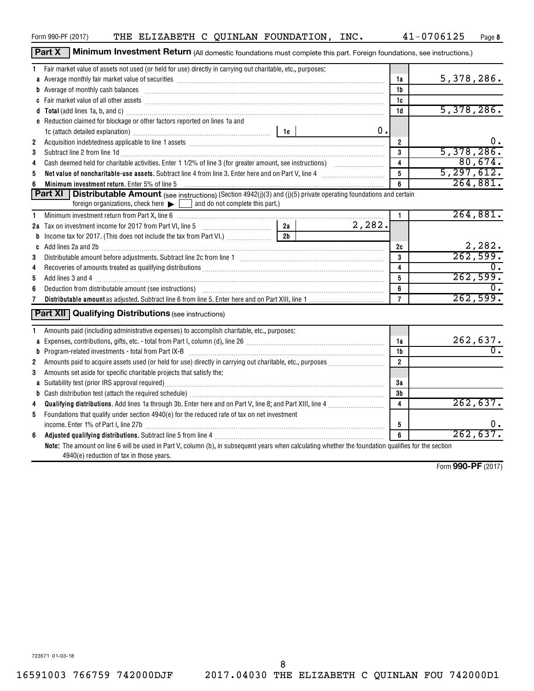Form 990-PF (2017) THE ELIZABETH C QUINLAN FOUNDATION, INC.  $41-0706125$  Page

Part X | Minimum Investment Return (All domestic foundations must complete this part. Foreign foundations, see instructions.)

| 1              | Fair market value of assets not used (or held for use) directly in carrying out charitable, etc., purposes:                                                                                                                        |                |        |                         |                         |
|----------------|------------------------------------------------------------------------------------------------------------------------------------------------------------------------------------------------------------------------------------|----------------|--------|-------------------------|-------------------------|
|                | a Average monthly fair market value of securities [11] match match match match of the contract match match match match match match match match match match match match match match match match match match match match match m     |                |        | 1a                      | 5,378,286.              |
|                | b Average of monthly cash balances encontractional contraction of the state of monthly cash balances                                                                                                                               |                |        | 1b                      |                         |
|                |                                                                                                                                                                                                                                    |                |        | 1c                      |                         |
|                | d Total (add lines 1a, b, and c) Mathematical Annual Contract and Total (add lines 1a, b, and c)                                                                                                                                   |                |        | 1d                      | 5,378,286.              |
|                | e Reduction claimed for blockage or other factors reported on lines 1a and                                                                                                                                                         |                |        |                         |                         |
|                | 1c (attach detailed explanation) $\ldots$ $\ldots$ $\ldots$ $\ldots$ $\ldots$ $\ldots$ $\ldots$ $\ldots$ $\ldots$ $\ldots$ $\ldots$ $\ldots$ $\ldots$                                                                              |                | 0.     |                         |                         |
| $\overline{2}$ |                                                                                                                                                                                                                                    |                |        | $\overline{2}$          | 0.                      |
| 3              | Subtract line 2 from line 1d <b>matures and the contract of the 1d</b> matures and the contract line 2 from line 1d matures and the contract of the contract of the 2 from line 1d matures and the contract of the contract of the |                |        | 3                       | 5,378,286.              |
| 4              |                                                                                                                                                                                                                                    |                |        | $\overline{\mathbf{4}}$ | 80,674.                 |
| 5              | Net value of noncharitable-use assets. Subtract line 4 from line 3. Enter here and on Part V, line 4 [11, 11, 11] Net viction with the state of the state of noncharitative with Networks and Subsets of Networks and Subsets      |                |        | $\overline{5}$          | 5, 297, 612.            |
| 6              | Minimum investment return. Enter 5% of line 5 Minimum and the content of the content of the content of the state of the state of the state of the state of the state of the state of the state of the state of the state of th     |                |        | 6                       | 264,881.                |
|                | <b>Part XI</b> Distributable Amount (see instructions) (Section 4942(j)(3) and (j)(5) private operating foundations and certain                                                                                                    |                |        |                         |                         |
|                | foreign organizations, check here $\blacktriangleright$ and do not complete this part.)                                                                                                                                            |                |        |                         |                         |
| 1              | Minimum investment return from Part X, line 6 [11] Minimum material contracts and the state of the contracts of the Minimum materials and the Minimum materials of the Minimum materials and the Minimum materials and the Min     |                |        | $\mathbf{1}$            | 264,881.                |
| 2a             |                                                                                                                                                                                                                                    |                | 2,282. |                         |                         |
| b              |                                                                                                                                                                                                                                    | 2 <sub>h</sub> |        |                         |                         |
|                |                                                                                                                                                                                                                                    |                |        | 2c                      | $\frac{2,282}{262,599}$ |
| 3              |                                                                                                                                                                                                                                    |                |        | 3                       |                         |
| 4              |                                                                                                                                                                                                                                    |                |        | 4                       | $\mathbf{0}$ .          |
| 5              |                                                                                                                                                                                                                                    |                |        | 5                       | 262,599.                |
| 6              |                                                                                                                                                                                                                                    |                |        | 6                       |                         |
| 7              |                                                                                                                                                                                                                                    |                |        | $\overline{7}$          | 262,599.                |
|                | <b>Part XII</b> Qualifying Distributions (see instructions)                                                                                                                                                                        |                |        |                         |                         |
| 1.             | Amounts paid (including administrative expenses) to accomplish charitable, etc., purposes:                                                                                                                                         |                |        |                         |                         |
|                |                                                                                                                                                                                                                                    |                |        | 1a                      | $\frac{262,637.}{0.}$   |
|                |                                                                                                                                                                                                                                    |                |        | 1b                      |                         |
| 2              |                                                                                                                                                                                                                                    |                |        | $\overline{2}$          |                         |
| 3              | Amounts set aside for specific charitable projects that satisfy the:                                                                                                                                                               |                |        |                         |                         |
|                | a Suitability test (prior IRS approval required)<br>manufacture manufacture manufacture manufacture manufacture manufacture manufacture manufacture manufacture m                                                                  |                |        | 3a                      |                         |
|                |                                                                                                                                                                                                                                    | 3 <sub>b</sub> |        |                         |                         |
| 4              |                                                                                                                                                                                                                                    |                |        | $\overline{\mathbf{4}}$ | 262,637.                |
| 5              | Foundations that qualify under section 4940(e) for the reduced rate of tax on net investment                                                                                                                                       |                |        |                         |                         |
|                |                                                                                                                                                                                                                                    |                |        | 5                       |                         |
| 6              |                                                                                                                                                                                                                                    |                |        | 6                       | 262,637.                |
|                | Note: The amount on line 6 will be used in Part V, column (b), in subsequent years when calculating whether the foundation qualifies for the section                                                                               |                |        |                         |                         |
|                | 4940(e) reduction of tax in those years.                                                                                                                                                                                           |                |        |                         |                         |

Form **990-PF** (2017)

16591003 766759 742000DJF 2017.04030 THE ELIZABETH C QUINLAN FOU 742000D1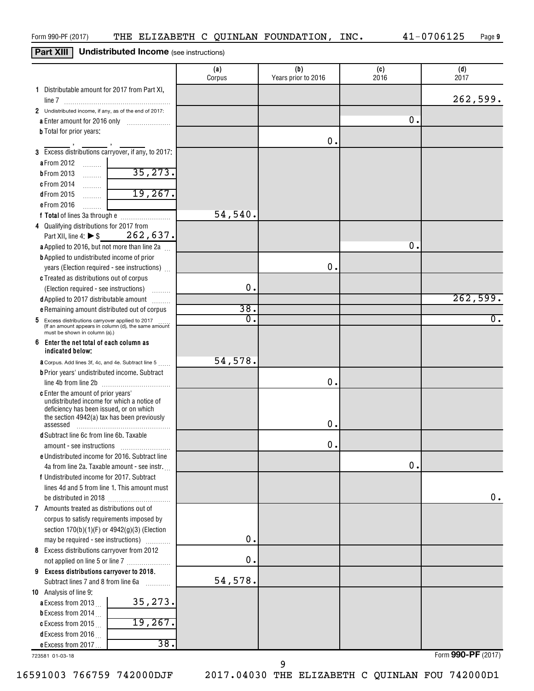# **Part XIII Undistributed Income** (see instructions)

|                                                                                                                    | (a)<br>Corpus | (b)<br>Years prior to 2016 | (c)<br>2016 | (d)<br>2017      |
|--------------------------------------------------------------------------------------------------------------------|---------------|----------------------------|-------------|------------------|
| 1 Distributable amount for 2017 from Part XI,                                                                      |               |                            |             |                  |
|                                                                                                                    |               |                            |             | 262,599.         |
| 2 Undistributed income, if any, as of the end of 2017:                                                             |               |                            |             |                  |
|                                                                                                                    |               |                            | О.          |                  |
| <b>b</b> Total for prior years:                                                                                    |               |                            |             |                  |
|                                                                                                                    |               | О.                         |             |                  |
| 3 Excess distributions carryover, if any, to 2017:                                                                 |               |                            |             |                  |
| a From 2012<br>1, 1, 1, 1, 1, 1                                                                                    |               |                            |             |                  |
| 35, 273.<br><b>bFrom 2013</b><br>.                                                                                 |               |                            |             |                  |
| c From 2014<br>.                                                                                                   |               |                            |             |                  |
| 19,267.<br>dFrom 2015<br>.                                                                                         |               |                            |             |                  |
| e From 2016<br>.                                                                                                   |               |                            |             |                  |
| f Total of lines 3a through e                                                                                      | 54,540.       |                            |             |                  |
| 4 Qualifying distributions for 2017 from                                                                           |               |                            |             |                  |
| 262,637.<br>Part XII, line 4: $\triangleright$ \$                                                                  |               |                            | О.          |                  |
| a Applied to 2016, but not more than line 2a                                                                       |               |                            |             |                  |
| <b>b</b> Applied to undistributed income of prior                                                                  |               | О.                         |             |                  |
| years (Election required - see instructions)<br>c Treated as distributions out of corpus                           |               |                            |             |                  |
| (Election required - see instructions)                                                                             | $\mathbf 0$ . |                            |             |                  |
| <b>Barbara</b><br>d Applied to 2017 distributable amount                                                           |               |                            |             | 262,599.         |
| e Remaining amount distributed out of corpus                                                                       | 38.           |                            |             |                  |
| 5 Excess distributions carryover applied to 2017                                                                   | $\mathbf 0$ . |                            |             | $\overline{0}$ . |
| (If an amount appears in column (d), the same amount<br>must be shown in column (a).)                              |               |                            |             |                  |
| 6<br>Enter the net total of each column as                                                                         |               |                            |             |                  |
| indicated below;                                                                                                   | 54,578.       |                            |             |                  |
| <b>a</b> Corpus. Add lines 3f, 4c, and 4e. Subtract line 5<br><b>b</b> Prior years' undistributed income. Subtract |               |                            |             |                  |
| line 4b from line 2b                                                                                               |               | О.                         |             |                  |
| <b>c</b> Enter the amount of prior years'                                                                          |               |                            |             |                  |
| undistributed income for which a notice of                                                                         |               |                            |             |                  |
| deficiency has been issued, or on which                                                                            |               |                            |             |                  |
| the section 4942(a) tax has been previously<br>assessed                                                            |               | 0.                         |             |                  |
| d Subtract line 6c from line 6b. Taxable                                                                           |               |                            |             |                  |
| amount - see instructions                                                                                          |               | О.                         |             |                  |
| e Undistributed income for 2016. Subtract line                                                                     |               |                            |             |                  |
| 4a from line 2a. Taxable amount - see instr.                                                                       |               |                            | 0.          |                  |
| f Undistributed income for 2017. Subtract                                                                          |               |                            |             |                  |
| lines 4d and 5 from line 1. This amount must                                                                       |               |                            |             |                  |
| be distributed in 2018                                                                                             |               |                            |             | 0.               |
| 7 Amounts treated as distributions out of                                                                          |               |                            |             |                  |
| corpus to satisfy requirements imposed by                                                                          |               |                            |             |                  |
| section 170(b)(1)(F) or 4942(g)(3) (Election                                                                       |               |                            |             |                  |
| may be required - see instructions)                                                                                | 0.            |                            |             |                  |
| 8 Excess distributions carryover from 2012                                                                         |               |                            |             |                  |
| not applied on line 5 or line 7                                                                                    | 0.            |                            |             |                  |
| 9 Excess distributions carryover to 2018.                                                                          | 54,578.       |                            |             |                  |
| Subtract lines 7 and 8 from line 6a                                                                                |               |                            |             |                  |
| 10 Analysis of line 9:<br>35,273.                                                                                  |               |                            |             |                  |
| a Excess from 2013.<br><b>b</b> Excess from 2014 $\ldots$                                                          |               |                            |             |                  |
| 19,267.<br>c Excess from 2015                                                                                      |               |                            |             |                  |
| d Excess from 2016 $\ldots$                                                                                        |               |                            |             |                  |
| 38.<br>e Excess from 2017                                                                                          |               |                            |             |                  |
|                                                                                                                    |               |                            |             |                  |

723581 01-03-18

16591003 766759 742000DJF 2017.04030 THE ELIZABETH C QUINLAN FOU 742000D1

9

Form **990-PF** (2017)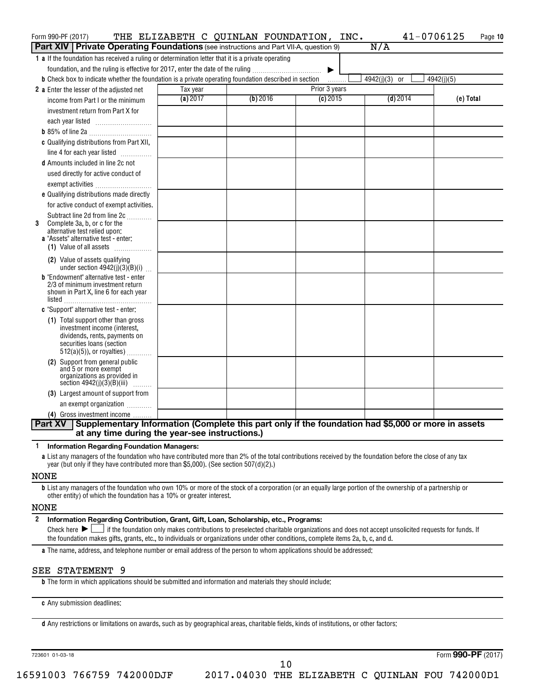| Form 990-PF (2017)                                                                                                   |          | THE ELIZABETH C QUINLAN FOUNDATION, | INC.          | 41-0706125    | Page 10    |
|----------------------------------------------------------------------------------------------------------------------|----------|-------------------------------------|---------------|---------------|------------|
| <b>Part XIV   Private Operating Foundations</b> (see instructions and Part VII-A, question 9)                        |          |                                     |               | N/A           |            |
| 1 a If the foundation has received a ruling or determination letter that it is a private operating                   |          |                                     |               |               |            |
| foundation, and the ruling is effective for 2017, enter the date of the ruling                                       |          |                                     | ▶             |               |            |
| <b>b</b> Check box to indicate whether the foundation is a private operating foundation described in section         |          |                                     | .             | 4942(j)(3) or | 4942(j)(5) |
| 2 a Enter the lesser of the adjusted net                                                                             | Tax year |                                     | Prior 3 years |               |            |
| income from Part I or the minimum                                                                                    | (a) 2017 | (b) 2016                            | $(c)$ 2015    | $(d)$ 2014    | (e) Total  |
| investment return from Part X for                                                                                    |          |                                     |               |               |            |
| each year listed                                                                                                     |          |                                     |               |               |            |
|                                                                                                                      |          |                                     |               |               |            |
| c Qualifying distributions from Part XII,                                                                            |          |                                     |               |               |            |
| line 4 for each year listed                                                                                          |          |                                     |               |               |            |
| <b>d</b> Amounts included in line 2c not                                                                             |          |                                     |               |               |            |
| used directly for active conduct of                                                                                  |          |                                     |               |               |            |
| exempt activities                                                                                                    |          |                                     |               |               |            |
| e Qualifying distributions made directly                                                                             |          |                                     |               |               |            |
| for active conduct of exempt activities.                                                                             |          |                                     |               |               |            |
| Subtract line 2d from line 2c                                                                                        |          |                                     |               |               |            |
| Complete 3a, b, or c for the<br>3                                                                                    |          |                                     |               |               |            |
| alternative test relied upon:<br>a "Assets" alternative test - enter:                                                |          |                                     |               |               |            |
| (1) Value of all assets                                                                                              |          |                                     |               |               |            |
| (2) Value of assets qualifying                                                                                       |          |                                     |               |               |            |
| under section $4942(j)(3)(B)(i)$                                                                                     |          |                                     |               |               |            |
| <b>b</b> "Endowment" alternative test - enter                                                                        |          |                                     |               |               |            |
| 2/3 of minimum investment return<br>shown in Part X, line 6 for each year                                            |          |                                     |               |               |            |
|                                                                                                                      |          |                                     |               |               |            |
| c "Support" alternative test - enter:                                                                                |          |                                     |               |               |            |
| (1) Total support other than gross                                                                                   |          |                                     |               |               |            |
| investment income (interest,                                                                                         |          |                                     |               |               |            |
| dividends, rents, payments on<br>securities loans (section                                                           |          |                                     |               |               |            |
| $512(a)(5)$ , or royalties)                                                                                          |          |                                     |               |               |            |
| (2) Support from general public                                                                                      |          |                                     |               |               |            |
| and 5 or more exempt<br>organizations as provided in                                                                 |          |                                     |               |               |            |
| section $4942(j)(3)(B)(iii)$<br>.                                                                                    |          |                                     |               |               |            |
| (3) Largest amount of support from                                                                                   |          |                                     |               |               |            |
| an exempt organization                                                                                               |          |                                     |               |               |            |
| (4) Gross investment income                                                                                          |          |                                     |               |               |            |
| Supplementary Information (Complete this part only if the foundation had \$5,000 or more in assets<br><b>Part XV</b> |          |                                     |               |               |            |
| at any time during the year-see instructions.)                                                                       |          |                                     |               |               |            |

**1 Information Regarding Foundation Managers:**

**a** List any managers of the foundation who have contributed more than 2% of the total contributions received by the foundation before the close of any tax year (but only if they have contributed more than \$5,000). (See section 507(d)(2).)

#### NONE

**b** List any managers of the foundation who own 10% or more of the stock of a corporation (or an equally large portion of the ownership of a partnership or other entity) of which the foundation has a 10% or greater interest.

#### NONE

**2 Information Regarding Contribution, Grant, Gift, Loan, Scholarship, etc., Programs:** Final check here  $\sum_{n=1}^{\infty}$  if the foundation only makes contributions to preselected charitable organizations and does not accept unsolicited requests for funds. If the foundation makes gifts, grants, etc., to individuals or organizations under other conditions, complete items 2a, b, c, and d.

**a** The name, address, and telephone number or email address of the person to whom applications should be addressed:

#### SEE STATEMENT 9

**b** The form in which applications should be submitted and information and materials they should include:

**c** Any submission deadlines:

**d** Any restrictions or limitations on awards, such as by geographical areas, charitable fields, kinds of institutions, or other factors:

723601 01-03-18

Form **990-PF** (2017)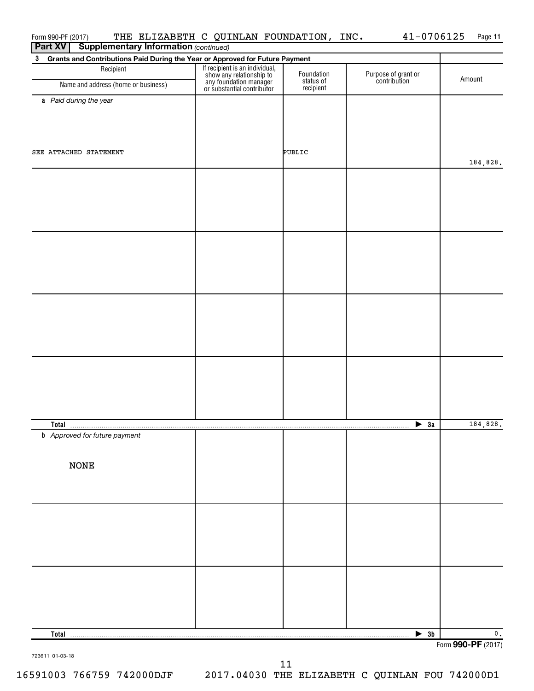| Form 990-PF (2017)                                                                           | THE ELIZABETH C QUINLAN FOUNDATION, INC.                                                                           |                                      | $41 - 0706125$                      | Page 11                                                      |
|----------------------------------------------------------------------------------------------|--------------------------------------------------------------------------------------------------------------------|--------------------------------------|-------------------------------------|--------------------------------------------------------------|
| <b>Part XV</b><br><b>Supplementary Information (continued)</b>                               |                                                                                                                    |                                      |                                     |                                                              |
| Grants and Contributions Paid During the Year or Approved for Future Payment<br>$\mathbf{3}$ |                                                                                                                    |                                      |                                     |                                                              |
| Recipient<br>Name and address (home or business)                                             | If recipient is an individual,<br>show any relationship to<br>any foundation manager<br>or substantial contributor | Foundation<br>status of<br>recipient | Purpose of grant or<br>contribution | Amount                                                       |
| a Paid during the year                                                                       |                                                                                                                    |                                      |                                     |                                                              |
|                                                                                              |                                                                                                                    |                                      |                                     |                                                              |
|                                                                                              |                                                                                                                    |                                      |                                     |                                                              |
|                                                                                              |                                                                                                                    |                                      |                                     |                                                              |
| SEE ATTACHED STATEMENT                                                                       |                                                                                                                    | PUBLIC                               |                                     |                                                              |
|                                                                                              |                                                                                                                    |                                      |                                     | 184,828.                                                     |
|                                                                                              |                                                                                                                    |                                      |                                     |                                                              |
|                                                                                              |                                                                                                                    |                                      |                                     |                                                              |
|                                                                                              |                                                                                                                    |                                      |                                     |                                                              |
|                                                                                              |                                                                                                                    |                                      |                                     |                                                              |
|                                                                                              |                                                                                                                    |                                      |                                     |                                                              |
|                                                                                              |                                                                                                                    |                                      |                                     |                                                              |
|                                                                                              |                                                                                                                    |                                      |                                     |                                                              |
|                                                                                              |                                                                                                                    |                                      |                                     |                                                              |
|                                                                                              |                                                                                                                    |                                      |                                     |                                                              |
|                                                                                              |                                                                                                                    |                                      |                                     |                                                              |
|                                                                                              |                                                                                                                    |                                      |                                     |                                                              |
|                                                                                              |                                                                                                                    |                                      |                                     |                                                              |
|                                                                                              |                                                                                                                    |                                      |                                     |                                                              |
|                                                                                              |                                                                                                                    |                                      |                                     |                                                              |
|                                                                                              |                                                                                                                    |                                      |                                     |                                                              |
|                                                                                              |                                                                                                                    |                                      |                                     |                                                              |
|                                                                                              |                                                                                                                    |                                      |                                     |                                                              |
|                                                                                              |                                                                                                                    |                                      |                                     |                                                              |
|                                                                                              |                                                                                                                    |                                      |                                     |                                                              |
|                                                                                              |                                                                                                                    |                                      |                                     |                                                              |
| Total <u></u>                                                                                |                                                                                                                    |                                      | $\blacktriangleright$ 3a            | 184,828.                                                     |
| <b>b</b> Approved for future payment                                                         |                                                                                                                    |                                      |                                     |                                                              |
|                                                                                              |                                                                                                                    |                                      |                                     |                                                              |
| <b>NONE</b>                                                                                  |                                                                                                                    |                                      |                                     |                                                              |
|                                                                                              |                                                                                                                    |                                      |                                     |                                                              |
|                                                                                              |                                                                                                                    |                                      |                                     |                                                              |
|                                                                                              |                                                                                                                    |                                      |                                     |                                                              |
|                                                                                              |                                                                                                                    |                                      |                                     |                                                              |
|                                                                                              |                                                                                                                    |                                      |                                     |                                                              |
|                                                                                              |                                                                                                                    |                                      |                                     |                                                              |
|                                                                                              |                                                                                                                    |                                      |                                     |                                                              |
|                                                                                              |                                                                                                                    |                                      |                                     |                                                              |
|                                                                                              |                                                                                                                    |                                      |                                     |                                                              |
|                                                                                              |                                                                                                                    |                                      |                                     |                                                              |
|                                                                                              |                                                                                                                    |                                      |                                     |                                                              |
|                                                                                              |                                                                                                                    |                                      |                                     |                                                              |
|                                                                                              |                                                                                                                    |                                      |                                     |                                                              |
| Total                                                                                        |                                                                                                                    |                                      | $\blacktriangleright$ 3b            | $\mathfrak o$ .<br>$0.00 \text{ } \text{D} \text{ } \text{}$ |

Form **990-PF** (2017)

16591003 766759 742000DJF 2017.04030 THE ELIZABETH C QUINLAN FOU 742000D1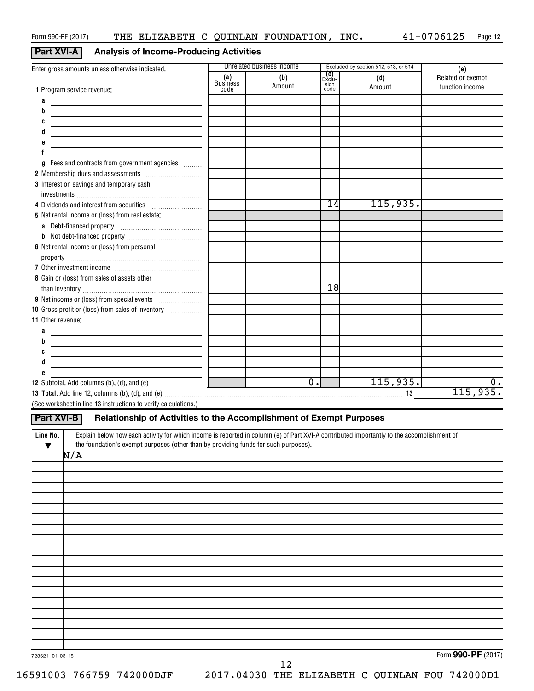# **Part XVI-A Analysis of Income-Producing Activities**

| Enter gross amounts unless otherwise indicated.                                                                                                       |                         | Unrelated business income |                                        | Excluded by section 512, 513, or 514 | (e)                                  |
|-------------------------------------------------------------------------------------------------------------------------------------------------------|-------------------------|---------------------------|----------------------------------------|--------------------------------------|--------------------------------------|
| 1 Program service revenue:                                                                                                                            | (a)<br>Business<br>code | (b)<br>Amount             | _ <b>(C)</b><br>Exclu-<br>sion<br>code | (d)<br>Amount                        | Related or exempt<br>function income |
| a                                                                                                                                                     |                         |                           |                                        |                                      |                                      |
| b                                                                                                                                                     |                         |                           |                                        |                                      |                                      |
| c                                                                                                                                                     |                         |                           |                                        |                                      |                                      |
|                                                                                                                                                       |                         |                           |                                        |                                      |                                      |
|                                                                                                                                                       |                         |                           |                                        |                                      |                                      |
|                                                                                                                                                       |                         |                           |                                        |                                      |                                      |
| Fees and contracts from government agencies<br>g                                                                                                      |                         |                           |                                        |                                      |                                      |
|                                                                                                                                                       |                         |                           |                                        |                                      |                                      |
| 3 Interest on savings and temporary cash                                                                                                              |                         |                           |                                        |                                      |                                      |
|                                                                                                                                                       |                         |                           |                                        |                                      |                                      |
| 4 Dividends and interest from securities                                                                                                              |                         |                           | $\overline{14}$                        | 115,935.                             |                                      |
| 5 Net rental income or (loss) from real estate:                                                                                                       |                         |                           |                                        |                                      |                                      |
|                                                                                                                                                       |                         |                           |                                        |                                      |                                      |
|                                                                                                                                                       |                         |                           |                                        |                                      |                                      |
| 6 Net rental income or (loss) from personal                                                                                                           |                         |                           |                                        |                                      |                                      |
|                                                                                                                                                       |                         |                           |                                        |                                      |                                      |
|                                                                                                                                                       |                         |                           |                                        |                                      |                                      |
| 8 Gain or (loss) from sales of assets other                                                                                                           |                         |                           |                                        |                                      |                                      |
|                                                                                                                                                       |                         |                           | 18                                     |                                      |                                      |
|                                                                                                                                                       |                         |                           |                                        |                                      |                                      |
| 10 Gross profit or (loss) from sales of inventory                                                                                                     |                         |                           |                                        |                                      |                                      |
| 11 Other revenue:                                                                                                                                     |                         |                           |                                        |                                      |                                      |
| a                                                                                                                                                     |                         |                           |                                        |                                      |                                      |
| b                                                                                                                                                     |                         |                           |                                        |                                      |                                      |
| C                                                                                                                                                     |                         |                           |                                        |                                      |                                      |
|                                                                                                                                                       |                         |                           |                                        |                                      |                                      |
|                                                                                                                                                       |                         |                           |                                        |                                      |                                      |
|                                                                                                                                                       |                         | $\overline{0}$ .          |                                        | 115,935.                             | 0.                                   |
|                                                                                                                                                       |                         |                           |                                        |                                      | 115,935.                             |
| (See worksheet in line 13 instructions to verify calculations.)                                                                                       |                         |                           |                                        |                                      |                                      |
|                                                                                                                                                       |                         |                           |                                        |                                      |                                      |
| Relationship of Activities to the Accomplishment of Exempt Purposes<br>Part XVI-B                                                                     |                         |                           |                                        |                                      |                                      |
| Explain below how each activity for which income is reported in column (e) of Part XVI-A contributed importantly to the accomplishment of<br>Line No. |                         |                           |                                        |                                      |                                      |
| the foundation's exempt purposes (other than by providing funds for such purposes).<br>▼                                                              |                         |                           |                                        |                                      |                                      |
| N/A                                                                                                                                                   |                         |                           |                                        |                                      |                                      |
|                                                                                                                                                       |                         |                           |                                        |                                      |                                      |
|                                                                                                                                                       |                         |                           |                                        |                                      |                                      |
|                                                                                                                                                       |                         |                           |                                        |                                      |                                      |
|                                                                                                                                                       |                         |                           |                                        |                                      |                                      |
|                                                                                                                                                       |                         |                           |                                        |                                      |                                      |
|                                                                                                                                                       |                         |                           |                                        |                                      |                                      |
|                                                                                                                                                       |                         |                           |                                        |                                      |                                      |
|                                                                                                                                                       |                         |                           |                                        |                                      |                                      |
|                                                                                                                                                       |                         |                           |                                        |                                      |                                      |
|                                                                                                                                                       |                         |                           |                                        |                                      |                                      |
|                                                                                                                                                       |                         |                           |                                        |                                      |                                      |
|                                                                                                                                                       |                         |                           |                                        |                                      |                                      |
|                                                                                                                                                       |                         |                           |                                        |                                      |                                      |
|                                                                                                                                                       |                         |                           |                                        |                                      |                                      |
|                                                                                                                                                       |                         |                           |                                        |                                      |                                      |
|                                                                                                                                                       |                         |                           |                                        |                                      |                                      |
|                                                                                                                                                       |                         |                           |                                        |                                      |                                      |

723621 01-03-18

Form **990-PF** (2017)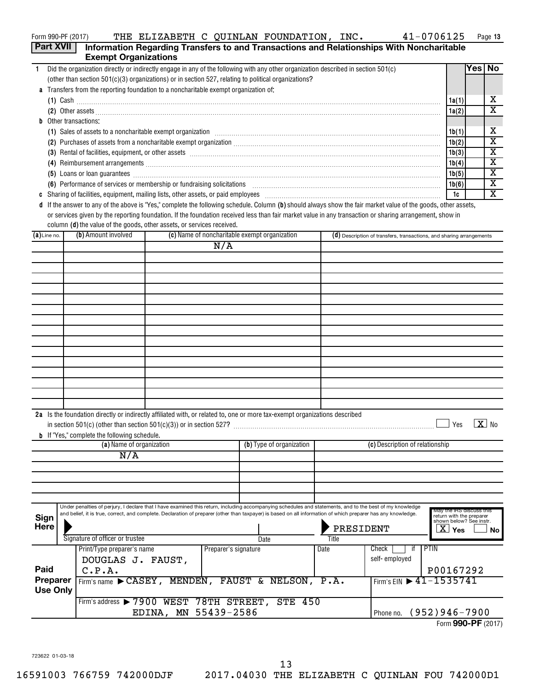| Form 990-PF (2017) | THE | <b>ELIZABETH</b> | . . | OUINLAN | FOUNDATION | INC | Page<br>15. |
|--------------------|-----|------------------|-----|---------|------------|-----|-------------|
|                    |     |                  |     |         |            |     |             |

|                 |                                                                                      |                      |                      |                                                                                                                                                                                                                                                                                                                           |           | Part XVII   Information Regarding Transfers to and Transactions and Relationships With Noncharitable                                                                                                                                 |                                                      |        | .                       |
|-----------------|--------------------------------------------------------------------------------------|----------------------|----------------------|---------------------------------------------------------------------------------------------------------------------------------------------------------------------------------------------------------------------------------------------------------------------------------------------------------------------------|-----------|--------------------------------------------------------------------------------------------------------------------------------------------------------------------------------------------------------------------------------------|------------------------------------------------------|--------|-------------------------|
|                 | <b>Exempt Organizations</b>                                                          |                      |                      |                                                                                                                                                                                                                                                                                                                           |           |                                                                                                                                                                                                                                      |                                                      | Yes No |                         |
| $\mathbf{1}$    |                                                                                      |                      |                      | Did the organization directly or indirectly engage in any of the following with any other organization described in section 501(c)<br>(other than section 501(c)(3) organizations) or in section 527, relating to political organizations?                                                                                |           |                                                                                                                                                                                                                                      |                                                      |        |                         |
|                 | a Transfers from the reporting foundation to a noncharitable exempt organization of: |                      |                      |                                                                                                                                                                                                                                                                                                                           |           |                                                                                                                                                                                                                                      |                                                      |        |                         |
|                 |                                                                                      |                      |                      |                                                                                                                                                                                                                                                                                                                           |           |                                                                                                                                                                                                                                      | 1a(1)                                                |        | x                       |
|                 |                                                                                      |                      |                      |                                                                                                                                                                                                                                                                                                                           |           | (2) Other assets <b>contract the contract of the contract of the contract of the contract of the contract of the contract of the contract of the contract of the contract of the contract of the contract of the contract of the</b> | 1a(2)                                                |        | x                       |
|                 | <b>b</b> Other transactions:                                                         |                      |                      |                                                                                                                                                                                                                                                                                                                           |           |                                                                                                                                                                                                                                      |                                                      |        |                         |
|                 |                                                                                      |                      |                      |                                                                                                                                                                                                                                                                                                                           |           | (1) Sales of assets to a noncharitable exempt organization manufactured contained and subsequent of assets to a noncharitable exempt organization manufactured contained and subsequent of the set of the set of the set of th       | 1b(1)                                                |        | х                       |
|                 |                                                                                      |                      |                      |                                                                                                                                                                                                                                                                                                                           |           |                                                                                                                                                                                                                                      | 1b(2)                                                |        | $\overline{\textbf{X}}$ |
|                 |                                                                                      |                      |                      |                                                                                                                                                                                                                                                                                                                           |           | (3) Rental of facilities, equipment, or other assets encourance and contain an according to the assets and an according to the assets and according to the set of the set of the set of the set of the set of the set of the s       | 1b(3)                                                |        | X                       |
|                 |                                                                                      |                      |                      |                                                                                                                                                                                                                                                                                                                           |           |                                                                                                                                                                                                                                      | 1b(4)                                                |        | $\overline{\textbf{X}}$ |
|                 |                                                                                      |                      |                      |                                                                                                                                                                                                                                                                                                                           |           | (5) Loans or loan guarantees <b>construction</b> contains a construction of the set of the construction of the construction of the construction of the construction of the construction of the construction of the construction of   | 1b(5)                                                |        | X                       |
|                 | (6) Performance of services or membership or fundraising solicitations               |                      |                      |                                                                                                                                                                                                                                                                                                                           |           |                                                                                                                                                                                                                                      | 1b(6)                                                |        | $\overline{\textbf{X}}$ |
|                 |                                                                                      |                      |                      |                                                                                                                                                                                                                                                                                                                           |           |                                                                                                                                                                                                                                      | 1c                                                   |        | $\overline{\mathbf{X}}$ |
|                 |                                                                                      |                      |                      |                                                                                                                                                                                                                                                                                                                           |           | d If the answer to any of the above is "Yes," complete the following schedule. Column (b) should always show the fair market value of the goods, other assets,                                                                       |                                                      |        |                         |
|                 | column (d) the value of the goods, other assets, or services received.               |                      |                      |                                                                                                                                                                                                                                                                                                                           |           | or services given by the reporting foundation. If the foundation received less than fair market value in any transaction or sharing arrangement, show in                                                                             |                                                      |        |                         |
| $(a)$ Line no.  | (b) Amount involved                                                                  |                      |                      | (c) Name of noncharitable exempt organization                                                                                                                                                                                                                                                                             |           | (d) Description of transfers, transactions, and sharing arrangements                                                                                                                                                                 |                                                      |        |                         |
|                 |                                                                                      |                      | N/A                  |                                                                                                                                                                                                                                                                                                                           |           |                                                                                                                                                                                                                                      |                                                      |        |                         |
|                 |                                                                                      |                      |                      |                                                                                                                                                                                                                                                                                                                           |           |                                                                                                                                                                                                                                      |                                                      |        |                         |
|                 |                                                                                      |                      |                      |                                                                                                                                                                                                                                                                                                                           |           |                                                                                                                                                                                                                                      |                                                      |        |                         |
|                 |                                                                                      |                      |                      |                                                                                                                                                                                                                                                                                                                           |           |                                                                                                                                                                                                                                      |                                                      |        |                         |
|                 |                                                                                      |                      |                      |                                                                                                                                                                                                                                                                                                                           |           |                                                                                                                                                                                                                                      |                                                      |        |                         |
|                 |                                                                                      |                      |                      |                                                                                                                                                                                                                                                                                                                           |           |                                                                                                                                                                                                                                      |                                                      |        |                         |
|                 |                                                                                      |                      |                      |                                                                                                                                                                                                                                                                                                                           |           |                                                                                                                                                                                                                                      |                                                      |        |                         |
|                 |                                                                                      |                      |                      |                                                                                                                                                                                                                                                                                                                           |           |                                                                                                                                                                                                                                      |                                                      |        |                         |
|                 |                                                                                      |                      |                      |                                                                                                                                                                                                                                                                                                                           |           |                                                                                                                                                                                                                                      |                                                      |        |                         |
|                 |                                                                                      |                      |                      |                                                                                                                                                                                                                                                                                                                           |           |                                                                                                                                                                                                                                      |                                                      |        |                         |
|                 |                                                                                      |                      |                      |                                                                                                                                                                                                                                                                                                                           |           |                                                                                                                                                                                                                                      |                                                      |        |                         |
|                 |                                                                                      |                      |                      |                                                                                                                                                                                                                                                                                                                           |           |                                                                                                                                                                                                                                      |                                                      |        |                         |
|                 |                                                                                      |                      |                      |                                                                                                                                                                                                                                                                                                                           |           |                                                                                                                                                                                                                                      |                                                      |        |                         |
|                 |                                                                                      |                      |                      |                                                                                                                                                                                                                                                                                                                           |           |                                                                                                                                                                                                                                      |                                                      |        |                         |
|                 |                                                                                      |                      |                      |                                                                                                                                                                                                                                                                                                                           |           |                                                                                                                                                                                                                                      |                                                      |        |                         |
|                 |                                                                                      |                      |                      | 2a Is the foundation directly or indirectly affiliated with, or related to, one or more tax-exempt organizations described                                                                                                                                                                                                |           |                                                                                                                                                                                                                                      |                                                      |        |                         |
|                 |                                                                                      |                      |                      |                                                                                                                                                                                                                                                                                                                           |           |                                                                                                                                                                                                                                      | Yes                                                  |        | $X$ No                  |
|                 | <b>b</b> If "Yes," complete the following schedule.                                  |                      |                      |                                                                                                                                                                                                                                                                                                                           |           |                                                                                                                                                                                                                                      |                                                      |        |                         |
|                 | (a) Name of organization                                                             |                      |                      | (b) Type of organization                                                                                                                                                                                                                                                                                                  |           | (c) Description of relationship                                                                                                                                                                                                      |                                                      |        |                         |
|                 | N/A                                                                                  |                      |                      |                                                                                                                                                                                                                                                                                                                           |           |                                                                                                                                                                                                                                      |                                                      |        |                         |
|                 |                                                                                      |                      |                      |                                                                                                                                                                                                                                                                                                                           |           |                                                                                                                                                                                                                                      |                                                      |        |                         |
|                 |                                                                                      |                      |                      |                                                                                                                                                                                                                                                                                                                           |           |                                                                                                                                                                                                                                      |                                                      |        |                         |
|                 |                                                                                      |                      |                      |                                                                                                                                                                                                                                                                                                                           |           |                                                                                                                                                                                                                                      |                                                      |        |                         |
|                 |                                                                                      |                      |                      |                                                                                                                                                                                                                                                                                                                           |           |                                                                                                                                                                                                                                      |                                                      |        |                         |
|                 |                                                                                      |                      |                      | Under penalties of perjury, I declare that I have examined this return, including accompanying schedules and statements, and to the best of my knowledge<br>and belief, it is true, correct, and complete. Declaration of preparer (other than taxpayer) is based on all information of which preparer has any knowledge. |           |                                                                                                                                                                                                                                      | May the IRS discuss this<br>return with the preparer |        |                         |
| Sign<br>Here    |                                                                                      |                      |                      |                                                                                                                                                                                                                                                                                                                           | PRESIDENT |                                                                                                                                                                                                                                      | shown below? See instr.<br>$X \mid$                  |        |                         |
|                 | Signature of officer or trustee                                                      |                      |                      | Date                                                                                                                                                                                                                                                                                                                      | Title     |                                                                                                                                                                                                                                      | Yes                                                  |        | No.                     |
|                 | Print/Type preparer's name                                                           |                      | Preparer's signature |                                                                                                                                                                                                                                                                                                                           | Date      | PTIN<br>Check<br>it                                                                                                                                                                                                                  |                                                      |        |                         |
|                 | DOUGLAS J. FAUST,                                                                    |                      |                      |                                                                                                                                                                                                                                                                                                                           |           | self-employed                                                                                                                                                                                                                        |                                                      |        |                         |
| Paid            | C.P.A.                                                                               |                      |                      |                                                                                                                                                                                                                                                                                                                           |           |                                                                                                                                                                                                                                      | P00167292                                            |        |                         |
| Preparer        |                                                                                      |                      |                      | Firm's name CASEY, MENDEN, FAUST & NELSON, P.A.                                                                                                                                                                                                                                                                           |           | Firm's EIN > 41-1535741                                                                                                                                                                                                              |                                                      |        |                         |
| <b>Use Only</b> |                                                                                      |                      |                      |                                                                                                                                                                                                                                                                                                                           |           |                                                                                                                                                                                                                                      |                                                      |        |                         |
|                 |                                                                                      |                      |                      | Firm's address > 7900 WEST 78TH STREET, STE 450                                                                                                                                                                                                                                                                           |           |                                                                                                                                                                                                                                      |                                                      |        |                         |
|                 |                                                                                      | EDINA, MN 55439-2586 |                      |                                                                                                                                                                                                                                                                                                                           |           | $(952)946 - 7900$<br>Phone no.                                                                                                                                                                                                       |                                                      |        |                         |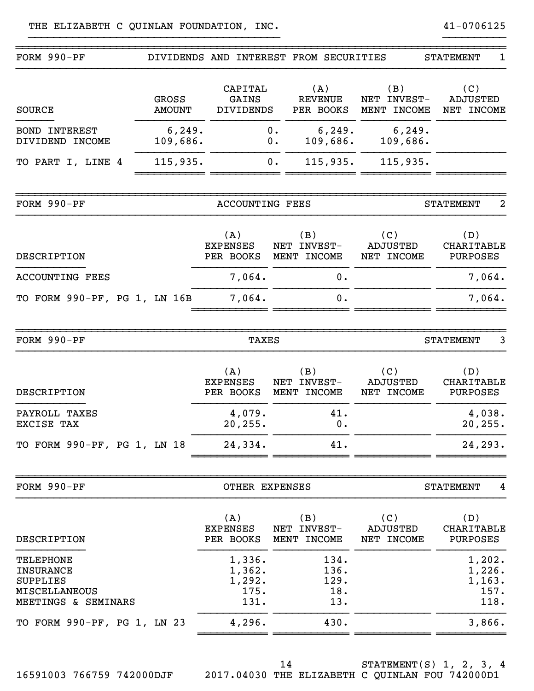| $FORM 990-PF$                                                                            |                                            | DIVIDENDS AND INTEREST FROM SECURITIES |                                      | <b>STATEMENT</b><br>1                      |
|------------------------------------------------------------------------------------------|--------------------------------------------|----------------------------------------|--------------------------------------|--------------------------------------------|
| <b>GROSS</b><br><b>SOURCE</b><br><b>AMOUNT</b>                                           | CAPITAL<br>GAINS<br><b>DIVIDENDS</b>       | (A)<br><b>REVENUE</b><br>PER BOOKS     | (B)<br>NET INVEST-<br>MENT INCOME    | (C)<br><b>ADJUSTED</b><br>NET INCOME       |
| 6, 249.<br><b>BOND INTEREST</b><br>109,686.<br>DIVIDEND INCOME                           |                                            | 6, 249.<br>$0$ .<br>109,686.<br>0.     | 6, 249.<br>109,686.                  |                                            |
| TO PART I, LINE 4<br>115,935.                                                            |                                            | 0.<br>115,935.                         | 115,935.                             |                                            |
| FORM 990-PF                                                                              | <b>ACCOUNTING FEES</b>                     |                                        |                                      | $\overline{2}$<br><b>STATEMENT</b>         |
| <b>DESCRIPTION</b>                                                                       | (A)<br><b>EXPENSES</b><br>PER BOOKS        | (B)<br>NET INVEST-<br>MENT INCOME      | (C)<br><b>ADJUSTED</b><br>NET INCOME | (D)<br>CHARITABLE<br><b>PURPOSES</b>       |
| <b>ACCOUNTING FEES</b>                                                                   | 7,064.                                     | 0.                                     |                                      | 7,064.                                     |
| TO FORM 990-PF, PG 1, LN 16B                                                             | 7,064.                                     | 0.                                     |                                      | 7,064.                                     |
| FORM 990-PF                                                                              | TAXES                                      |                                        |                                      | 3<br><b>STATEMENT</b>                      |
| <b>DESCRIPTION</b>                                                                       | (A)<br><b>EXPENSES</b><br>PER BOOKS        | (B)<br>NET INVEST-<br>MENT INCOME      | (C)<br>ADJUSTED<br>NET INCOME        | (D)<br>CHARITABLE<br><b>PURPOSES</b>       |
| PAYROLL TAXES<br>EXCISE TAX                                                              | 4,079.<br>20,255.                          | 41.<br>0.                              |                                      | 4,038.<br>20,255.                          |
| TO FORM 990-PF, PG 1, LN 18                                                              | 24,334.                                    | 41.                                    |                                      | 24,293.                                    |
| FORM 990-PF                                                                              | OTHER EXPENSES                             |                                        |                                      | <b>STATEMENT</b><br>4                      |
| DESCRIPTION                                                                              | (A)<br><b>EXPENSES</b><br>PER BOOKS        | (B)<br>NET INVEST-<br>MENT INCOME      | (C)<br>ADJUSTED<br>NET INCOME        | (D)<br><b>CHARITABLE</b><br>PURPOSES       |
| TELEPHONE<br><b>INSURANCE</b><br><b>SUPPLIES</b><br>MISCELLANEOUS<br>MEETINGS & SEMINARS | 1,336.<br>1,362.<br>1,292.<br>175.<br>131. | 134.<br>136.<br>129.<br>18.<br>13.     |                                      | 1,202.<br>1,226.<br>1,163.<br>157.<br>118. |
| TO FORM 990-PF, PG 1, LN 23                                                              | 4,296.                                     | 430.                                   |                                      | 3,866.                                     |

16591003 766759 742000DJF 2017.04030 THE ELIZABETH C QUINLAN FOU 742000D1

STATEMENT(S) 1, 2, 3, 4

 <sup>14</sup>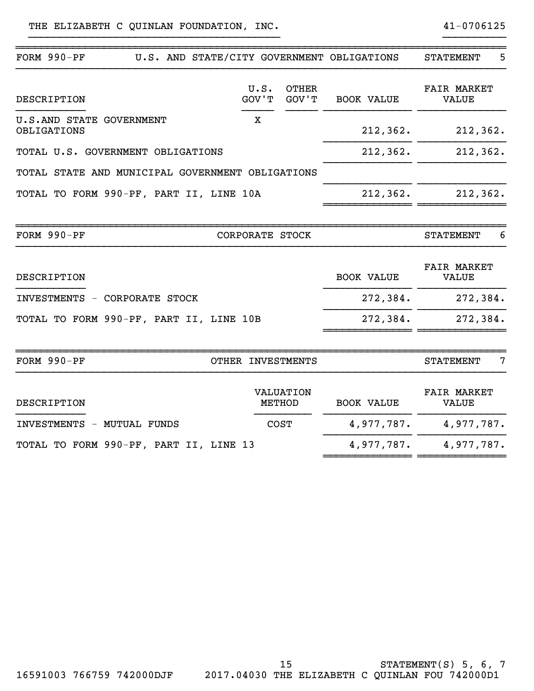| FORM 990-PF                                      |                   |                       | U.S. AND STATE/CITY GOVERNMENT OBLIGATIONS | 5<br><b>STATEMENT</b>              |
|--------------------------------------------------|-------------------|-----------------------|--------------------------------------------|------------------------------------|
| DESCRIPTION                                      | U.S.<br>GOV'T     | <b>OTHER</b><br>GOV'T | <b>BOOK VALUE</b>                          | <b>FAIR MARKET</b><br><b>VALUE</b> |
| U.S.AND STATE GOVERNMENT<br>OBLIGATIONS          | X                 |                       | 212, 362.                                  | 212, 362.                          |
| TOTAL U.S. GOVERNMENT OBLIGATIONS                |                   |                       | 212,362.                                   | 212,362.                           |
| TOTAL STATE AND MUNICIPAL GOVERNMENT OBLIGATIONS |                   |                       |                                            |                                    |
| TOTAL TO FORM 990-PF, PART II, LINE 10A          |                   |                       | 212, 362.                                  | 212,362.                           |
| FORM 990-PF                                      | CORPORATE STOCK   |                       |                                            | 6<br><b>STATEMENT</b>              |
| DESCRIPTION                                      |                   |                       | <b>BOOK VALUE</b>                          | <b>FAIR MARKET</b><br><b>VALUE</b> |
| INVESTMENTS - CORPORATE STOCK                    |                   |                       | 272,384.                                   | 272,384.                           |
| TOTAL TO FORM 990-PF, PART II, LINE 10B          |                   |                       | 272,384.                                   | 272,384.                           |
| FORM 990-PF                                      | OTHER INVESTMENTS |                       |                                            | <b>STATEMENT</b><br>7              |
| DESCRIPTION                                      | METHOD            | VALUATION             | <b>BOOK VALUE</b>                          | <b>FAIR MARKET</b><br><b>VALUE</b> |
| INVESTMENTS - MUTUAL FUNDS                       | <b>COST</b>       |                       | 4,977,787.                                 | 4,977,787.                         |
| TOTAL TO FORM 990-PF, PART II, LINE 13           |                   |                       | 4,977,787.                                 | 4,977,787.                         |
|                                                  |                   |                       |                                            |                                    |

}}}}}}}}}}}}}}}}}}}}}}}}}}}}}}}}}}}}}}}} }}}}}}}}}}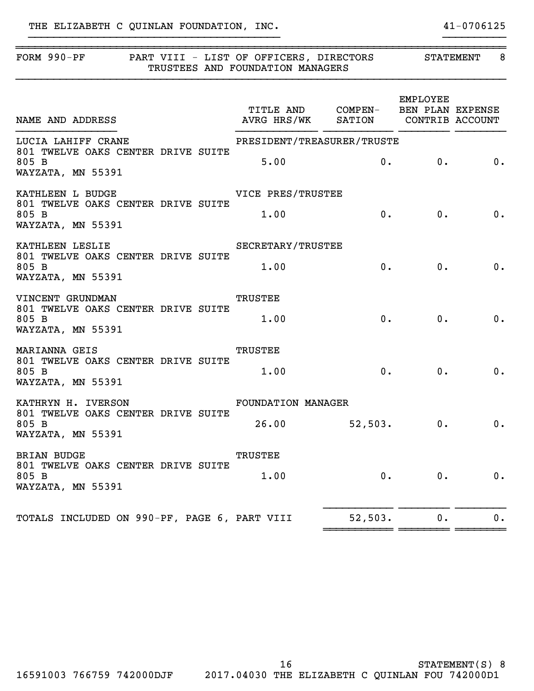## THE ELIZABETH C QUINLAN FOUNDATION, INC. 41-0706125

| FORM 990-PF PART VIII - LIST OF OFFICERS, DIRECTORS STATEMENT<br>8<br>TRUSTEES AND FOUNDATION MANAGERS            |                                    |         |                 |                             |  |  |
|-------------------------------------------------------------------------------------------------------------------|------------------------------------|---------|-----------------|-----------------------------|--|--|
| TITLE AND COMPEN-<br>NAME AND ADDRESS TITLE AND COMPEN- BEN FLAN BATENCE                                          | TITLE AND COMPEN- BEN PLAN EXPENSE |         | <b>EMPLOYEE</b> |                             |  |  |
| LUCIA LAHIFF CRANE PRESIDENT/TREASURER/TRUSTE<br>801 TWELVE OAKS CENTER DRIVE SUITE<br>805 B<br>WAYZATA, MN 55391 | 5.00                               |         | 0. 0.           | $\overline{\phantom{a}}$ 0. |  |  |
| VICE PRES/TRUSTEE<br>KATHLEEN L BUDGE<br>801 TWELVE OAKS CENTER DRIVE SUITE<br>805 B<br>WAYZATA, MN 55391         | 1.00                               |         | 0.<br>$0$ .     | $\overline{\phantom{a}}$ 0. |  |  |
| KATHLEEN LESLIE<br>801 TWELVE OAKS CENTER DRIVE SUITE<br>805 B<br>WAYZATA, MN 55391                               | SECRETARY/TRUSTEE<br>1.00          | 0.      | $0$ .           | 0.                          |  |  |
| VINCENT GRUNDMAN<br>801 TWELVE OAKS CENTER DRIVE SUITE<br>805 B<br>WAYZATA, MN 55391                              | <b>TRUSTEE</b><br>1.00             | 0.      | $0$ .           | 0.                          |  |  |
| MARIANNA GEIS<br>801 TWELVE OAKS CENTER DRIVE SUITE<br>805 B<br>WAYZATA, MN 55391                                 | <b>TRUSTEE</b><br>1.00             | 0.      | $0$ .           | 0.                          |  |  |
| KATHRYN H. IVERSON<br>801 TWELVE OAKS CENTER DRIVE SUITE<br>805 B<br>WAYZATA, MN 55391                            | <b>FOUNDATION MANAGER</b><br>26.00 | 52,503. | 0.              | 0.                          |  |  |
| <b>BRIAN BUDGE</b><br>801 TWELVE OAKS CENTER DRIVE SUITE<br>805 B<br>WAYZATA, MN 55391                            | <b>TRUSTEE</b><br>1.00             | 0.      | $0$ .           | 0.                          |  |  |
| TOTALS INCLUDED ON 990-PF, PAGE 6, PART VIII                                                                      |                                    | 52,503. | 0.              | 0.                          |  |  |

}}}}}}}}}}}}}}}}}}}}}}}}}}}}}}}}}}}}}}}} }}}}}}}}}}

STATEMENT(S) 8 16591003 766759 742000DJF 2017.04030 THE ELIZABETH C QUINLAN FOU 742000D1 16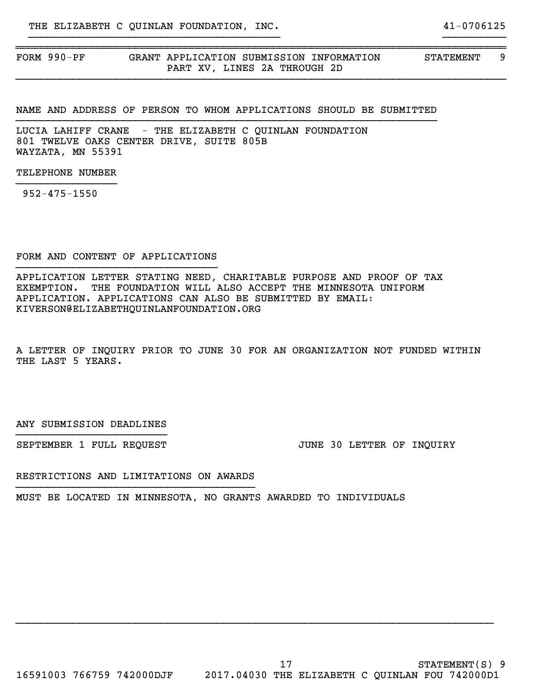FORM 990-PF GRANT APPLICATION SUBMISSION INFORMATION STATEMENT 9 PART XV, LINES 2A THROUGH 2D

NAME AND ADDRESS OF PERSON TO WHOM APPLICATIONS SHOULD BE SUBMITTED }}}}}}}}}}}}}}}}}}}}}}}}}}}}}}}}}}}}}}}}}}}}}}}}}}}}}}}}}}}}}}}}}}}

~~~~~~~~~~~~~~~~~~~~~~~~~~~~~~~~~~~~~~~~~~~~~~~~~~~~~~~~~~~~~~~~~~~~~~~~~~~~~~

}}}}}}}}}}}}}}}}}}}}}}}}}}}}}}}}}}}}}}}} }}}}}}}}}}

}}}}}}}}}}}}}}}}}}}}}}}}}}}}}}}}}}}}}}}}}}}}}}}}}}}}}}}}}}}}}}}}}}}}}}}}}}}}}}

LUCIA LAHIFF CRANE - THE ELIZABETH C QUINLAN FOUNDATION 801 TWELVE OAKS CENTER DRIVE, SUITE 805B WAYZATA, MN 55391

### TELEPHONE NUMBER }}}}}}}}}}}}}}}}

952-475-1550

### FORM AND CONTENT OF APPLICATIONS }}}}}}}}}}}}}}}}}}}}}}}}}}}}}}}}

APPLICATION LETTER STATING NEED, CHARITABLE PURPOSE AND PROOF OF TAX EXEMPTION. THE FOUNDATION WILL ALSO ACCEPT THE MINNESOTA UNIFORM APPLICATION. APPLICATIONS CAN ALSO BE SUBMITTED BY EMAIL: KIVERSON@ELIZABETHQUINLANFOUNDATION.ORG

A LETTER OF INQUIRY PRIOR TO JUNE 30 FOR AN ORGANIZATION NOT FUNDED WITHIN THE LAST 5 YEARS.

}}}}}}}}}}}}}}}}}}}}}}}}}}}}}}}}}}}}}}}}}}}}}}}}}}}}}}}}}}}}}}}}}}}}}}}}}}}}

### ANY SUBMISSION DEADLINES }}}}}}}}}}}}}}}}}}}}}}}}

SEPTEMBER 1 FULL REQUEST **120 IUNE 30 LETTER OF INQUIRY** 

### RESTRICTIONS AND LIMITATIONS ON AWARDS }}}}}}}}}}}}}}}}}}}}}}}}}}}}}}}}}}}}}}

MUST BE LOCATED IN MINNESOTA, NO GRANTS AWARDED TO INDIVIDUALS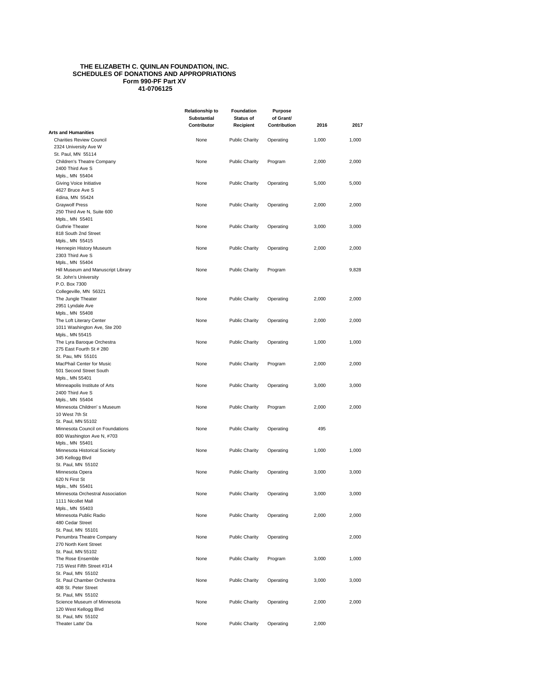#### **THE ELIZABETH C. QUINLAN FOUNDATION, INC. SCHEDULES OF DONATIONS AND APPROPRIATIONS Form 990-PF Part XV 41-0706125**

|                                                   | <b>Relationship to</b><br><b>Substantial</b> | Foundation<br>Status of | <b>Purpose</b><br>of Grant/ |       |       |
|---------------------------------------------------|----------------------------------------------|-------------------------|-----------------------------|-------|-------|
|                                                   | Contributor                                  | Recipient               | Contribution                | 2016  | 2017  |
| <b>Arts and Humanities</b>                        |                                              |                         |                             |       |       |
| <b>Charities Review Council</b>                   | None                                         | <b>Public Charity</b>   | Operating                   | 1,000 | 1,000 |
| 2324 University Ave W                             |                                              |                         |                             |       |       |
| St. Paul, MN 55114                                |                                              |                         |                             |       |       |
| Children's Theatre Company                        | None                                         | <b>Public Charity</b>   | Program                     | 2,000 | 2,000 |
| 2400 Third Ave S                                  |                                              |                         |                             |       |       |
| Mpls., MN 55404                                   |                                              |                         |                             |       |       |
| Giving Voice Initiative                           | None                                         | <b>Public Charity</b>   | Operating                   | 5,000 | 5,000 |
| 4627 Bruce Ave S                                  |                                              |                         |                             |       |       |
| Edina, MN 55424                                   |                                              |                         |                             |       |       |
| <b>Graywolf Press</b>                             | None                                         | <b>Public Charity</b>   | Operating                   | 2,000 | 2,000 |
| 250 Third Ave N, Suite 600                        |                                              |                         |                             |       |       |
| Mpls., MN 55401                                   |                                              |                         |                             |       |       |
| <b>Guthrie Theater</b>                            | None                                         | <b>Public Charity</b>   | Operating                   | 3,000 | 3,000 |
| 818 South 2nd Street                              |                                              |                         |                             |       |       |
| Mpls., MN 55415                                   |                                              |                         |                             |       |       |
| Hennepin History Museum                           | None                                         | <b>Public Charity</b>   | Operating                   | 2,000 | 2,000 |
| 2303 Third Ave S                                  |                                              |                         |                             |       |       |
| Mpls., MN 55404                                   |                                              |                         |                             |       |       |
| Hill Museum and Manuscript Library                | None                                         | <b>Public Charity</b>   | Program                     |       | 9,828 |
| St. John's University                             |                                              |                         |                             |       |       |
| P.O. Box 7300                                     |                                              |                         |                             |       |       |
| Collegeville, MN 56321                            |                                              |                         |                             |       |       |
| The Jungle Theater                                | None                                         | <b>Public Charity</b>   | Operating                   | 2,000 | 2,000 |
| 2951 Lyndale Ave                                  |                                              |                         |                             |       |       |
| Mpls., MN 55408                                   |                                              |                         |                             |       |       |
| The Loft Literary Center                          | None                                         | <b>Public Charity</b>   | Operating                   | 2,000 | 2,000 |
| 1011 Washington Ave, Ste 200                      |                                              |                         |                             |       |       |
| Mpls., MN 55415                                   |                                              |                         |                             |       |       |
| The Lyra Baroque Orchestra                        | None                                         | <b>Public Charity</b>   | Operating                   | 1,000 | 1,000 |
| 275 East Fourth St # 280                          |                                              |                         |                             |       |       |
| St. Pau, MN 55101                                 |                                              |                         |                             |       |       |
| MacPhail Center for Music                         | None                                         | <b>Public Charity</b>   | Program                     | 2,000 | 2,000 |
| 501 Second Street South                           |                                              |                         |                             |       |       |
| Mpls., MN 55401                                   |                                              |                         |                             |       |       |
| Minneapolis Institute of Arts                     | None                                         | <b>Public Charity</b>   | Operating                   | 3,000 | 3,000 |
| 2400 Third Ave S                                  |                                              |                         |                             |       |       |
| Mpls., MN 55404<br>Minnesota Children's Museum    | None                                         |                         |                             |       | 2,000 |
|                                                   |                                              | <b>Public Charity</b>   | Program                     | 2,000 |       |
| 10 West 7th St                                    |                                              |                         |                             |       |       |
| St. Paul, MN 55102                                |                                              |                         |                             |       |       |
| Minnesota Council on Foundations                  | None                                         | <b>Public Charity</b>   | Operating                   | 495   |       |
| 800 Washington Ave N, #703                        |                                              |                         |                             |       |       |
| Mpls., MN 55401                                   | None                                         |                         |                             |       | 1,000 |
| Minnesota Historical Society<br>345 Kellogg Blvd  |                                              | <b>Public Charity</b>   | Operating                   | 1,000 |       |
|                                                   |                                              |                         |                             |       |       |
| St. Paul, MN 55102<br>Minnesota Opera             | None                                         |                         |                             |       | 3,000 |
| 620 N First St                                    |                                              | <b>Public Charity</b>   | Operating                   | 3,000 |       |
| Mpls., MN 55401                                   |                                              |                         |                             |       |       |
| Minnesota Orchestral Association                  | None                                         |                         |                             |       |       |
|                                                   |                                              | <b>Public Charity</b>   | Operating                   | 3,000 | 3,000 |
| 1111 Nicollet Mall                                |                                              |                         |                             |       |       |
| Mpls., MN 55403                                   |                                              |                         |                             |       |       |
| Minnesota Public Radio                            | None                                         | <b>Public Charity</b>   | Operating                   | 2,000 | 2,000 |
| 480 Cedar Street<br>St. Paul, MN 55101            |                                              |                         |                             |       |       |
|                                                   |                                              |                         |                             |       |       |
| Penumbra Theatre Company<br>270 North Kent Street | None                                         | <b>Public Charity</b>   | Operating                   |       | 2,000 |
|                                                   |                                              |                         |                             |       |       |
| St. Paul, MN 55102                                | None                                         |                         |                             |       |       |
| The Rose Ensemble                                 |                                              | <b>Public Charity</b>   | Program                     | 3,000 | 1,000 |
| 715 West Fifth Street #314                        |                                              |                         |                             |       |       |
| St. Paul, MN 55102                                |                                              |                         |                             |       |       |
| St. Paul Chamber Orchestra                        | None                                         | <b>Public Charity</b>   | Operating                   | 3,000 | 3,000 |
| 408 St. Peter Street                              |                                              |                         |                             |       |       |
| St. Paul, MN 55102                                |                                              |                         |                             |       |       |
| Science Museum of Minnesota                       | None                                         | <b>Public Charity</b>   | Operating                   | 2,000 | 2,000 |
| 120 West Kellogg Blvd                             |                                              |                         |                             |       |       |
| St. Paul, MN 55102<br>Theater Latte' Da           | None                                         | <b>Public Charity</b>   | Operating                   | 2,000 |       |
|                                                   |                                              |                         |                             |       |       |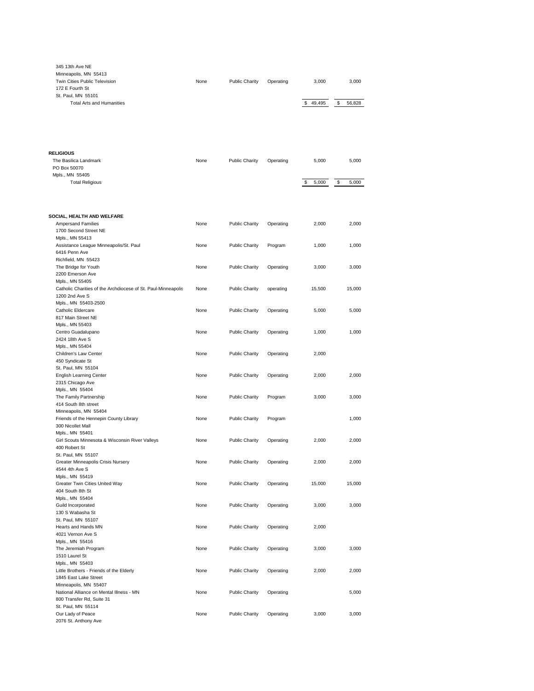| 345 13th Ave NE<br>Minneapolis, MN 55413         |      |                       |           |          |        |
|--------------------------------------------------|------|-----------------------|-----------|----------|--------|
| Twin Cities Public Television<br>172 E Fourth St | None | <b>Public Charity</b> | Operating | 3.000    | 3.000  |
| St. Paul. MN 55101                               |      |                       |           |          |        |
| <b>Total Arts and Humanities</b>                 |      |                       |           | \$49.495 | 56.828 |

**RELIGIOUS**

| The Basilica Landmark                                         | None | <b>Public Charity</b> | Operating | 5,000       | 5,000       |
|---------------------------------------------------------------|------|-----------------------|-----------|-------------|-------------|
| PO Box 50070                                                  |      |                       |           |             |             |
| Mpls., MN 55405                                               |      |                       |           |             |             |
| <b>Total Religious</b>                                        |      |                       |           | \$<br>5,000 | \$<br>5,000 |
|                                                               |      |                       |           |             |             |
| SOCIAL, HEALTH AND WELFARE                                    |      |                       |           |             |             |
| <b>Ampersand Families</b>                                     | None | <b>Public Charity</b> | Operating | 2,000       | 2,000       |
| 1700 Second Street NE                                         |      |                       |           |             |             |
| Mpls., MN 55413                                               |      |                       |           |             |             |
| Assistance League Minneapolis/St. Paul                        | None | <b>Public Charity</b> | Program   | 1,000       | 1,000       |
| 6416 Penn Ave                                                 |      |                       |           |             |             |
| Richfield, MN 55423<br>The Bridge for Youth                   |      |                       |           |             |             |
| 2200 Emerson Ave                                              | None | <b>Public Charity</b> | Operating | 3,000       | 3,000       |
| Mpls., MN 55405                                               |      |                       |           |             |             |
| Catholic Charities of the Archdiocese of St. Paul-Minneapolis | None | <b>Public Charity</b> | operating | 15,500      | 15,000      |
| 1200 2nd Ave S                                                |      |                       |           |             |             |
| Mpls., MN 55403-2500                                          |      |                       |           |             |             |
| Catholic Eldercare                                            | None | <b>Public Charity</b> | Operating | 5,000       | 5,000       |
| 817 Main Street NE                                            |      |                       |           |             |             |
| Mpls., MN 55403                                               |      |                       |           |             |             |
| Centro Guadalupano                                            | None | <b>Public Charity</b> | Operating | 1,000       | 1,000       |
| 2424 18th Ave S                                               |      |                       |           |             |             |
| Mpls., MN 55404                                               |      |                       |           |             |             |
| Children's Law Center                                         | None | <b>Public Charity</b> | Operating | 2,000       |             |
| 450 Syndicate St                                              |      |                       |           |             |             |
| St. Paul, MN 55104                                            |      |                       |           |             |             |
| <b>English Learning Center</b>                                | None | <b>Public Charity</b> | Operating | 2,000       | 2,000       |
| 2315 Chicago Ave                                              |      |                       |           |             |             |
| Mpls., MN 55404                                               |      |                       |           |             |             |
| The Family Partnership                                        | None | <b>Public Charity</b> | Program   | 3,000       | 3,000       |
| 414 South 8th street                                          |      |                       |           |             |             |
| Minneapolis, MN 55404                                         |      |                       |           |             |             |
| Friends of the Hennepin County Library                        | None | <b>Public Charity</b> | Program   |             | 1,000       |
| 300 Nicollet Mall                                             |      |                       |           |             |             |
| Mpls., MN 55401                                               |      |                       |           |             |             |
| Girl Scouts Minnesota & Wisconsin River Valleys               | None | <b>Public Charity</b> | Operating | 2,000       | 2,000       |
| 400 Robert St<br>St. Paul, MN 55107                           |      |                       |           |             |             |
| Greater Minneapolis Crisis Nursery                            | None | <b>Public Charity</b> | Operating | 2,000       | 2,000       |
| 4544 4th Ave S                                                |      |                       |           |             |             |
| Mpls., MN 55419                                               |      |                       |           |             |             |
| Greater Twin Cities United Way                                | None | <b>Public Charity</b> | Operating | 15,000      | 15,000      |
| 404 South 8th St                                              |      |                       |           |             |             |
| Mpls., MN 55404                                               |      |                       |           |             |             |
| Guild Incorporated                                            | None | <b>Public Charity</b> | Operating | 3,000       | 3,000       |
| 130 S Wabasha St                                              |      |                       |           |             |             |
| St. Paul, MN 55107                                            |      |                       |           |             |             |
| Hearts and Hands MN                                           | None | <b>Public Charity</b> | Operating | 2,000       |             |
| 4021 Vernon Ave S                                             |      |                       |           |             |             |
| Mpls., MN 55416                                               |      |                       |           |             |             |
| The Jeremiah Program                                          | None | Public Charity        | Operating | 3,000       | 3,000       |
| 1510 Laurel St                                                |      |                       |           |             |             |
| Mpls., MN 55403                                               |      |                       |           |             |             |
| Little Brothers - Friends of the Elderly                      | None | <b>Public Charity</b> | Operating | 2,000       | 2,000       |
| 1845 East Lake Street                                         |      |                       |           |             |             |
| Minneapolis, MN 55407                                         |      |                       |           |             |             |
| National Alliance on Mental Illness - MN                      | None | <b>Public Charity</b> | Operating |             | 5,000       |
| 800 Transfer Rd, Suite 31                                     |      |                       |           |             |             |
| St. Paul, MN 55114                                            | None | <b>Public Charity</b> | Operating | 3,000       | 3,000       |
| Our Lady of Peace<br>2076 St. Anthony Ave                     |      |                       |           |             |             |
|                                                               |      |                       |           |             |             |